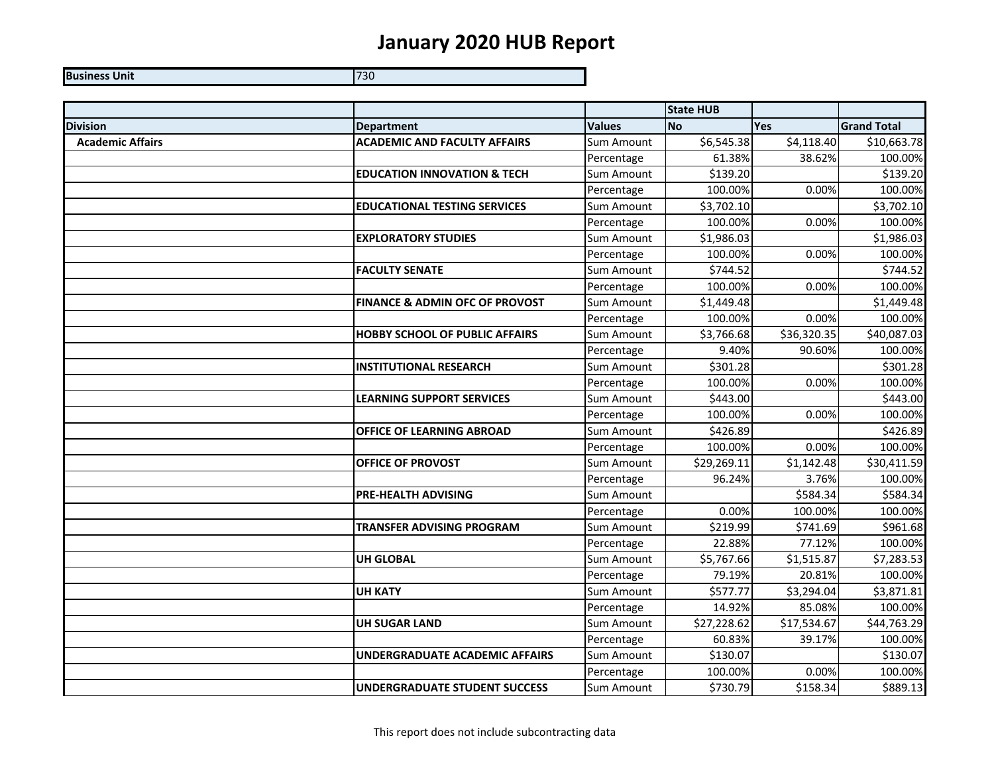## **January 2020 HUB Report**

**Business Unit** 730 - Personald Personald Personald Personald P 730

|                         |                                           |                   | <b>State HUB</b> |             |                      |
|-------------------------|-------------------------------------------|-------------------|------------------|-------------|----------------------|
| <b>Division</b>         | <b>Department</b>                         | <b>Values</b>     | <b>No</b>        | <b>Yes</b>  | <b>Grand Total</b>   |
| <b>Academic Affairs</b> | <b>ACADEMIC AND FACULTY AFFAIRS</b>       | <b>Sum Amount</b> | \$6,545.38       | \$4,118.40  | \$10,663.78          |
|                         |                                           | Percentage        | 61.38%           | 38.62%      | 100.00%              |
|                         | <b>EDUCATION INNOVATION &amp; TECH</b>    | <b>Sum Amount</b> | \$139.20         |             | \$139.20             |
|                         |                                           | Percentage        | 100.00%          | 0.00%       | 100.00%              |
|                         | <b>EDUCATIONAL TESTING SERVICES</b>       | Sum Amount        | \$3,702.10       |             | \$3,702.10           |
|                         |                                           | Percentage        | 100.00%          | 0.00%       | 100.00%              |
|                         | <b>EXPLORATORY STUDIES</b>                | Sum Amount        | \$1,986.03       |             | \$1,986.03           |
|                         |                                           | Percentage        | 100.00%          | 0.00%       | 100.00%              |
|                         | <b>FACULTY SENATE</b>                     | Sum Amount        | \$744.52         |             | \$744.52             |
|                         |                                           | Percentage        | 100.00%          | 0.00%       | 100.00%              |
|                         | <b>FINANCE &amp; ADMIN OFC OF PROVOST</b> | Sum Amount        | \$1,449.48       |             | \$1,449.48           |
|                         |                                           | Percentage        | 100.00%          | 0.00%       | 100.00%              |
|                         | <b>HOBBY SCHOOL OF PUBLIC AFFAIRS</b>     | Sum Amount        | \$3,766.68       | \$36,320.35 | \$40,087.03          |
|                         |                                           | Percentage        | 9.40%            | 90.60%      | 100.00%              |
|                         | <b>INSTITUTIONAL RESEARCH</b>             | <b>Sum Amount</b> | \$301.28         |             | \$301.28             |
|                         |                                           | Percentage        | 100.00%          | 0.00%       | 100.00%              |
|                         | <b>LEARNING SUPPORT SERVICES</b>          | Sum Amount        | \$443.00         |             | \$443.00             |
|                         |                                           | Percentage        | 100.00%          | 0.00%       | 100.00%              |
|                         | OFFICE OF LEARNING ABROAD                 | Sum Amount        | \$426.89         |             | \$426.89             |
|                         |                                           | Percentage        | 100.00%          | 0.00%       | 100.00%              |
|                         | <b>OFFICE OF PROVOST</b>                  | Sum Amount        | \$29,269.11      | \$1,142.48  | \$30,411.59          |
|                         |                                           | Percentage        | 96.24%           | 3.76%       | 100.00%              |
|                         | <b>PRE-HEALTH ADVISING</b>                | Sum Amount        |                  | \$584.34    | \$584.34             |
|                         |                                           | Percentage        | 0.00%            | 100.00%     | 100.00%              |
|                         | TRANSFER ADVISING PROGRAM                 | Sum Amount        | \$219.99         | \$741.69    | \$961.68             |
|                         |                                           | Percentage        | 22.88%           | 77.12%      | 100.00%              |
|                         | <b>UH GLOBAL</b>                          | Sum Amount        | \$5,767.66       | \$1,515.87  | \$7,283.53           |
|                         |                                           | Percentage        | 79.19%           | 20.81%      | 100.00%              |
|                         | <b>UH KATY</b>                            | Sum Amount        | \$577.77         | \$3,294.04  | \$3,871.81           |
|                         |                                           | Percentage        | 14.92%           | 85.08%      | 100.00%              |
|                         | <b>UH SUGAR LAND</b>                      | Sum Amount        | \$27,228.62      | \$17,534.67 | \$44,763.29          |
|                         |                                           | Percentage        | 60.83%           | 39.17%      | 100.00%              |
|                         | <b>UNDERGRADUATE ACADEMIC AFFAIRS</b>     | Sum Amount        | \$130.07         |             | \$130.07             |
|                         |                                           | Percentage        | 100.00%          | 0.00%       | 100.00%              |
|                         | <b>UNDERGRADUATE STUDENT SUCCESS</b>      | Sum Amount        | \$730.79         | \$158.34    | $\overline{$}889.13$ |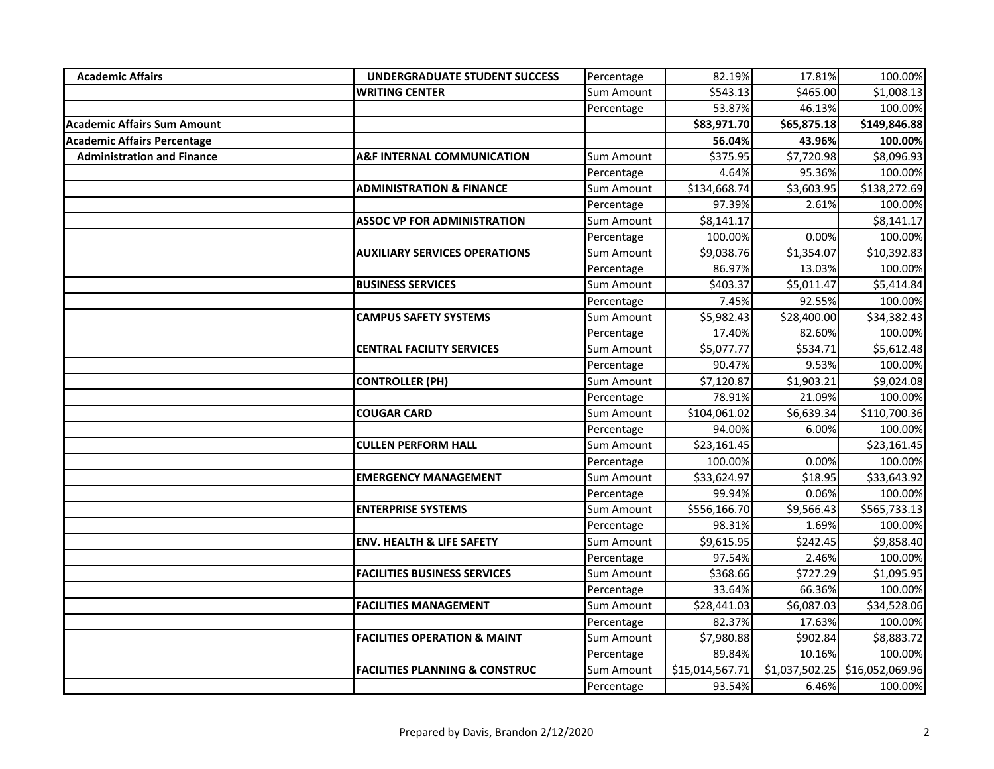| <b>Academic Affairs</b>            | <b>UNDERGRADUATE STUDENT SUCCESS</b>      | Percentage        | 82.19%          | 17.81%         | 100.00%         |
|------------------------------------|-------------------------------------------|-------------------|-----------------|----------------|-----------------|
|                                    | <b>WRITING CENTER</b>                     | <b>Sum Amount</b> | \$543.13        | \$465.00       | \$1,008.13      |
|                                    |                                           | Percentage        | 53.87%          | 46.13%         | 100.00%         |
| <b>Academic Affairs Sum Amount</b> |                                           |                   | \$83,971.70     | \$65,875.18    | \$149,846.88    |
| <b>Academic Affairs Percentage</b> |                                           |                   | 56.04%          | 43.96%         | 100.00%         |
| <b>Administration and Finance</b>  | <b>A&amp;F INTERNAL COMMUNICATION</b>     | Sum Amount        | \$375.95        | \$7,720.98     | \$8,096.93      |
|                                    |                                           | Percentage        | 4.64%           | 95.36%         | 100.00%         |
|                                    | <b>ADMINISTRATION &amp; FINANCE</b>       | Sum Amount        | \$134,668.74    | \$3,603.95     | \$138,272.69    |
|                                    |                                           | Percentage        | 97.39%          | 2.61%          | 100.00%         |
|                                    | <b>ASSOC VP FOR ADMINISTRATION</b>        | Sum Amount        | \$8,141.17      |                | \$8,141.17      |
|                                    |                                           | Percentage        | 100.00%         | 0.00%          | 100.00%         |
|                                    | <b>AUXILIARY SERVICES OPERATIONS</b>      | Sum Amount        | \$9,038.76      | \$1,354.07     | \$10,392.83     |
|                                    |                                           | Percentage        | 86.97%          | 13.03%         | 100.00%         |
|                                    | <b>BUSINESS SERVICES</b>                  | Sum Amount        | \$403.37        | \$5,011.47     | \$5,414.84      |
|                                    |                                           | Percentage        | 7.45%           | 92.55%         | 100.00%         |
|                                    | <b>CAMPUS SAFETY SYSTEMS</b>              | Sum Amount        | \$5,982.43      | \$28,400.00    | \$34,382.43     |
|                                    |                                           | Percentage        | 17.40%          | 82.60%         | 100.00%         |
|                                    | <b>CENTRAL FACILITY SERVICES</b>          | Sum Amount        | \$5,077.77      | \$534.71       | \$5,612.48      |
|                                    |                                           | Percentage        | 90.47%          | 9.53%          | 100.00%         |
|                                    | <b>CONTROLLER (PH)</b>                    | Sum Amount        | \$7,120.87      | \$1,903.21     | \$9,024.08      |
|                                    |                                           | Percentage        | 78.91%          | 21.09%         | 100.00%         |
|                                    | <b>COUGAR CARD</b>                        | Sum Amount        | \$104,061.02    | \$6,639.34     | \$110,700.36    |
|                                    |                                           | Percentage        | 94.00%          | 6.00%          | 100.00%         |
|                                    | <b>CULLEN PERFORM HALL</b>                | Sum Amount        | \$23,161.45     |                | \$23,161.45     |
|                                    |                                           | Percentage        | 100.00%         | 0.00%          | 100.00%         |
|                                    | <b>EMERGENCY MANAGEMENT</b>               | Sum Amount        | \$33,624.97     | \$18.95        | \$33,643.92     |
|                                    |                                           | Percentage        | 99.94%          | 0.06%          | 100.00%         |
|                                    | <b>ENTERPRISE SYSTEMS</b>                 | Sum Amount        | \$556,166.70    | \$9,566.43     | \$565,733.13    |
|                                    |                                           | Percentage        | 98.31%          | 1.69%          | 100.00%         |
|                                    | <b>ENV. HEALTH &amp; LIFE SAFETY</b>      | Sum Amount        | \$9,615.95      | \$242.45       | \$9,858.40      |
|                                    |                                           | Percentage        | 97.54%          | 2.46%          | 100.00%         |
|                                    | <b>FACILITIES BUSINESS SERVICES</b>       | Sum Amount        | \$368.66        | \$727.29       | \$1,095.95      |
|                                    |                                           | Percentage        | 33.64%          | 66.36%         | 100.00%         |
|                                    | <b>FACILITIES MANAGEMENT</b>              | Sum Amount        | \$28,441.03     | \$6,087.03     | \$34,528.06     |
|                                    |                                           | Percentage        | 82.37%          | 17.63%         | 100.00%         |
|                                    | <b>FACILITIES OPERATION &amp; MAINT</b>   | Sum Amount        | \$7,980.88      | \$902.84       | \$8,883.72      |
|                                    |                                           | Percentage        | 89.84%          | 10.16%         | 100.00%         |
|                                    | <b>FACILITIES PLANNING &amp; CONSTRUC</b> | Sum Amount        | \$15,014,567.71 | \$1,037,502.25 | \$16,052,069.96 |
|                                    |                                           | Percentage        | 93.54%          | 6.46%          | 100.00%         |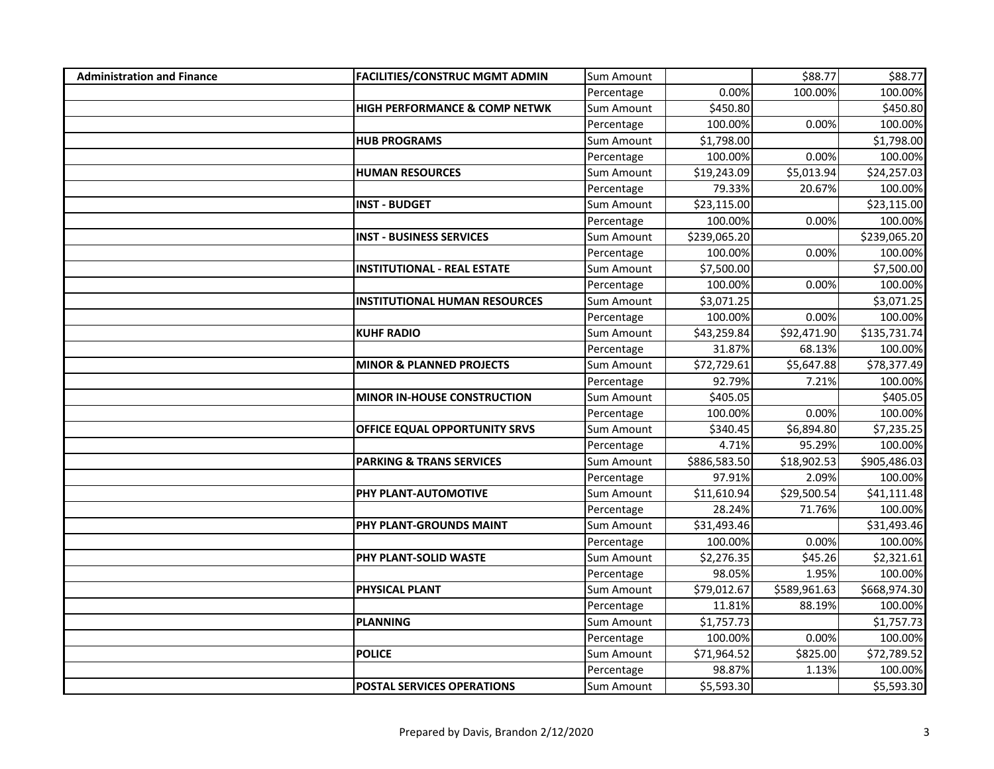| <b>Administration and Finance</b> | <b>FACILITIES/CONSTRUC MGMT ADMIN</b>    | Sum Amount        |              | \$88.77      | \$88.77      |
|-----------------------------------|------------------------------------------|-------------------|--------------|--------------|--------------|
|                                   |                                          | Percentage        | 0.00%        | 100.00%      | 100.00%      |
|                                   | <b>HIGH PERFORMANCE &amp; COMP NETWK</b> | Sum Amount        | \$450.80     |              | \$450.80     |
|                                   |                                          | Percentage        | 100.00%      | 0.00%        | 100.00%      |
|                                   | <b>HUB PROGRAMS</b>                      | Sum Amount        | \$1,798.00   |              | \$1,798.00   |
|                                   |                                          | Percentage        | 100.00%      | 0.00%        | 100.00%      |
|                                   | <b>HUMAN RESOURCES</b>                   | Sum Amount        | \$19,243.09  | \$5,013.94   | \$24,257.03  |
|                                   |                                          | Percentage        | 79.33%       | 20.67%       | 100.00%      |
|                                   | <b>INST - BUDGET</b>                     | Sum Amount        | \$23,115.00  |              | \$23,115.00  |
|                                   |                                          | Percentage        | 100.00%      | 0.00%        | 100.00%      |
|                                   | <b>INST - BUSINESS SERVICES</b>          | Sum Amount        | \$239,065.20 |              | \$239,065.20 |
|                                   |                                          | Percentage        | 100.00%      | 0.00%        | 100.00%      |
|                                   | <b>INSTITUTIONAL - REAL ESTATE</b>       | Sum Amount        | \$7,500.00   |              | \$7,500.00   |
|                                   |                                          | Percentage        | 100.00%      | 0.00%        | 100.00%      |
|                                   | <b>INSTITUTIONAL HUMAN RESOURCES</b>     | Sum Amount        | \$3,071.25   |              | \$3,071.25   |
|                                   |                                          | Percentage        | 100.00%      | 0.00%        | 100.00%      |
|                                   | <b>KUHF RADIO</b>                        | <b>Sum Amount</b> | \$43,259.84  | \$92,471.90  | \$135,731.74 |
|                                   |                                          | Percentage        | 31.87%       | 68.13%       | 100.00%      |
|                                   | <b>MINOR &amp; PLANNED PROJECTS</b>      | Sum Amount        | \$72,729.61  | \$5,647.88   | \$78,377.49  |
|                                   |                                          | Percentage        | 92.79%       | 7.21%        | 100.00%      |
|                                   | MINOR IN-HOUSE CONSTRUCTION              | Sum Amount        | \$405.05     |              | \$405.05     |
|                                   |                                          | Percentage        | 100.00%      | 0.00%        | 100.00%      |
|                                   | OFFICE EQUAL OPPORTUNITY SRVS            | Sum Amount        | \$340.45     | \$6,894.80   | \$7,235.25   |
|                                   |                                          | Percentage        | 4.71%        | 95.29%       | 100.00%      |
|                                   | <b>PARKING &amp; TRANS SERVICES</b>      | Sum Amount        | \$886,583.50 | \$18,902.53  | \$905,486.03 |
|                                   |                                          | Percentage        | 97.91%       | 2.09%        | 100.00%      |
|                                   | PHY PLANT-AUTOMOTIVE                     | Sum Amount        | \$11,610.94  | \$29,500.54  | \$41,111.48  |
|                                   |                                          | Percentage        | 28.24%       | 71.76%       | 100.00%      |
|                                   | PHY PLANT-GROUNDS MAINT                  | Sum Amount        | \$31,493.46  |              | \$31,493.46  |
|                                   |                                          | Percentage        | 100.00%      | 0.00%        | 100.00%      |
|                                   | PHY PLANT-SOLID WASTE                    | Sum Amount        | \$2,276.35   | \$45.26      | \$2,321.61   |
|                                   |                                          | Percentage        | 98.05%       | 1.95%        | 100.00%      |
|                                   | PHYSICAL PLANT                           | Sum Amount        | \$79,012.67  | \$589,961.63 | \$668,974.30 |
|                                   |                                          | Percentage        | 11.81%       | 88.19%       | 100.00%      |
|                                   | <b>PLANNING</b>                          | Sum Amount        | \$1,757.73   |              | \$1,757.73   |
|                                   |                                          | Percentage        | 100.00%      | 0.00%        | 100.00%      |
|                                   | <b>POLICE</b>                            | Sum Amount        | \$71,964.52  | \$825.00     | \$72,789.52  |
|                                   |                                          | Percentage        | 98.87%       | 1.13%        | 100.00%      |
|                                   | <b>POSTAL SERVICES OPERATIONS</b>        | Sum Amount        | \$5,593.30   |              | \$5,593.30   |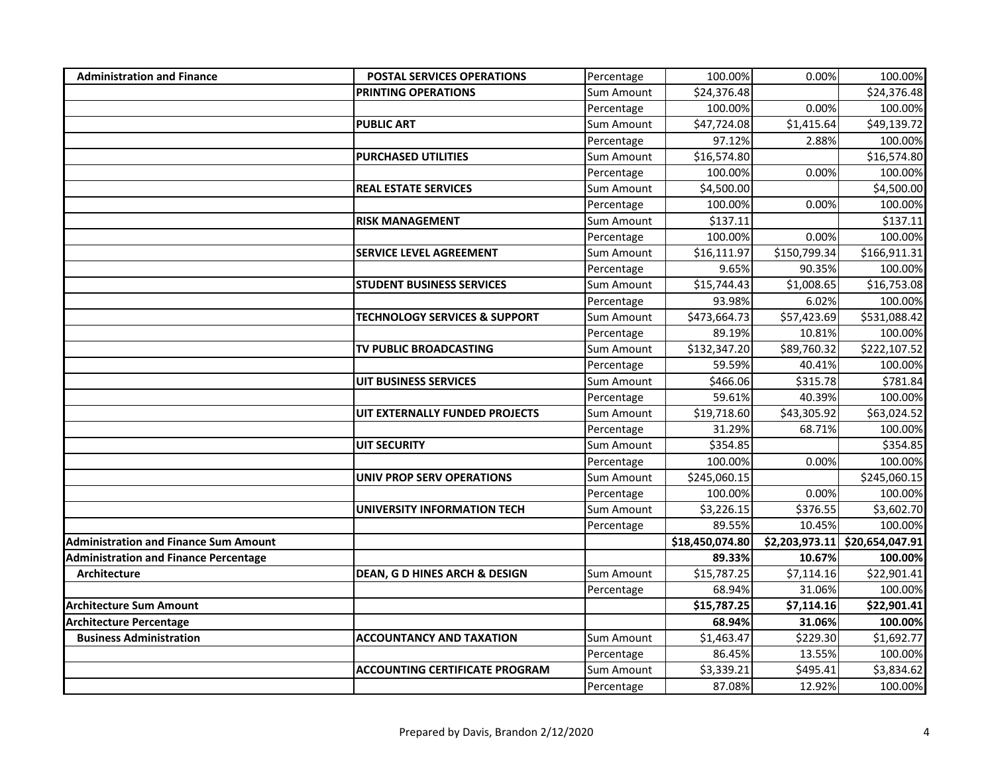| <b>Administration and Finance</b>            | <b>POSTAL SERVICES OPERATIONS</b>        | Percentage        | 100.00%                 | 0.00%          | 100.00%         |
|----------------------------------------------|------------------------------------------|-------------------|-------------------------|----------------|-----------------|
|                                              | <b>PRINTING OPERATIONS</b>               | Sum Amount        | \$24,376.48             |                | \$24,376.48     |
|                                              |                                          | Percentage        | 100.00%                 | 0.00%          | 100.00%         |
|                                              | <b>PUBLIC ART</b>                        | Sum Amount        | $\overline{$}47,724.08$ | \$1,415.64     | \$49,139.72     |
|                                              |                                          | Percentage        | 97.12%                  | 2.88%          | 100.00%         |
|                                              | <b>PURCHASED UTILITIES</b>               | Sum Amount        | \$16,574.80             |                | \$16,574.80     |
|                                              |                                          | Percentage        | 100.00%                 | 0.00%          | 100.00%         |
|                                              | <b>REAL ESTATE SERVICES</b>              | Sum Amount        | \$4,500.00              |                | \$4,500.00      |
|                                              |                                          | Percentage        | 100.00%                 | 0.00%          | 100.00%         |
|                                              | <b>RISK MANAGEMENT</b>                   | Sum Amount        | \$137.11                |                | \$137.11        |
|                                              |                                          | Percentage        | 100.00%                 | 0.00%          | 100.00%         |
|                                              | <b>SERVICE LEVEL AGREEMENT</b>           | Sum Amount        | \$16,111.97             | \$150,799.34   | \$166,911.31    |
|                                              |                                          | Percentage        | 9.65%                   | 90.35%         | 100.00%         |
|                                              | <b>STUDENT BUSINESS SERVICES</b>         | Sum Amount        | \$15,744.43             | \$1,008.65     | \$16,753.08     |
|                                              |                                          | Percentage        | 93.98%                  | 6.02%          | 100.00%         |
|                                              | <b>TECHNOLOGY SERVICES &amp; SUPPORT</b> | Sum Amount        | \$473,664.73            | \$57,423.69    | \$531,088.42    |
|                                              |                                          | Percentage        | 89.19%                  | 10.81%         | 100.00%         |
|                                              | TV PUBLIC BROADCASTING                   | Sum Amount        | \$132,347.20            | \$89,760.32    | \$222,107.52    |
|                                              |                                          | Percentage        | 59.59%                  | 40.41%         | 100.00%         |
|                                              | <b>UIT BUSINESS SERVICES</b>             | Sum Amount        | \$466.06                | \$315.78       | \$781.84        |
|                                              |                                          | Percentage        | 59.61%                  | 40.39%         | 100.00%         |
|                                              | UIT EXTERNALLY FUNDED PROJECTS           | Sum Amount        | \$19,718.60             | \$43,305.92    | \$63,024.52     |
|                                              |                                          | Percentage        | 31.29%                  | 68.71%         | 100.00%         |
|                                              | <b>UIT SECURITY</b>                      | Sum Amount        | \$354.85                |                | \$354.85        |
|                                              |                                          | Percentage        | 100.00%                 | 0.00%          | 100.00%         |
|                                              | <b>UNIV PROP SERV OPERATIONS</b>         | Sum Amount        | \$245,060.15            |                | \$245,060.15    |
|                                              |                                          | Percentage        | 100.00%                 | 0.00%          | 100.00%         |
|                                              | <b>UNIVERSITY INFORMATION TECH</b>       | <b>Sum Amount</b> | \$3,226.15              | \$376.55       | \$3,602.70      |
|                                              |                                          | Percentage        | 89.55%                  | 10.45%         | 100.00%         |
| <b>Administration and Finance Sum Amount</b> |                                          |                   | \$18,450,074.80         | \$2,203,973.11 | \$20,654,047.91 |
| <b>Administration and Finance Percentage</b> |                                          |                   | 89.33%                  | 10.67%         | 100.00%         |
| <b>Architecture</b>                          | DEAN, G D HINES ARCH & DESIGN            | <b>Sum Amount</b> | \$15,787.25             | \$7,114.16     | \$22,901.41     |
|                                              |                                          | Percentage        | 68.94%                  | 31.06%         | 100.00%         |
| <b>Architecture Sum Amount</b>               |                                          |                   | \$15,787.25             | \$7,114.16     | \$22,901.41     |
| <b>Architecture Percentage</b>               |                                          |                   | 68.94%                  | 31.06%         | 100.00%         |
| <b>Business Administration</b>               | <b>ACCOUNTANCY AND TAXATION</b>          | Sum Amount        | \$1,463.47              | \$229.30       | \$1,692.77      |
|                                              |                                          | Percentage        | 86.45%                  | 13.55%         | 100.00%         |
|                                              | <b>ACCOUNTING CERTIFICATE PROGRAM</b>    | Sum Amount        | \$3,339.21              | \$495.41       | \$3,834.62      |
|                                              |                                          | Percentage        | 87.08%                  | 12.92%         | 100.00%         |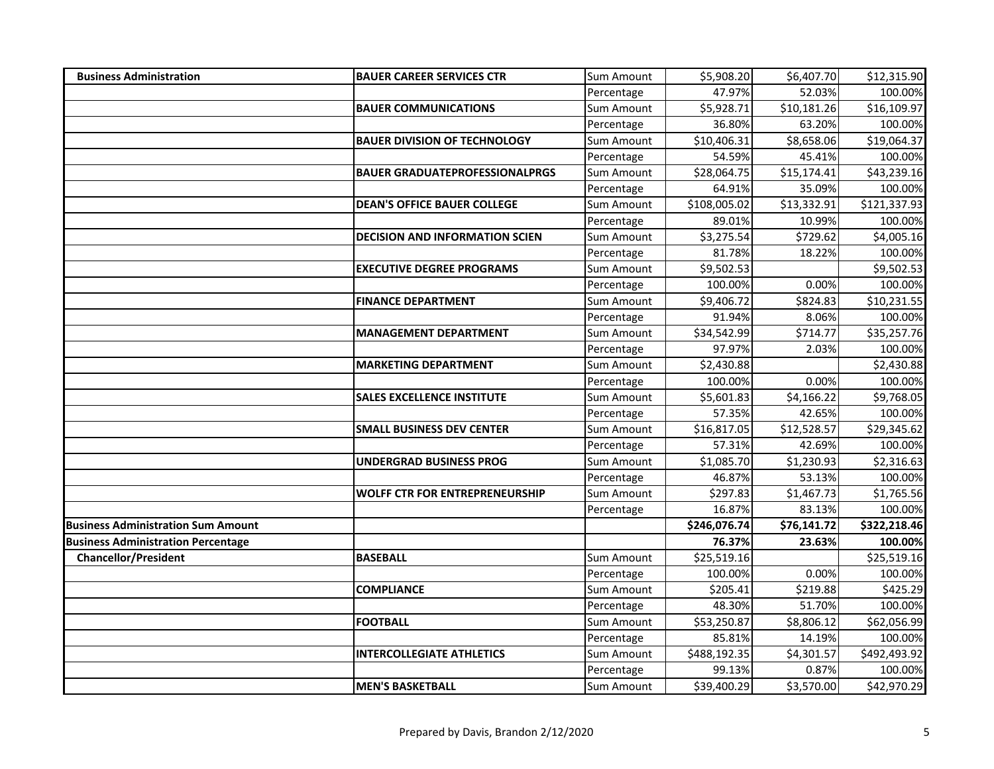| <b>Business Administration</b>            | <b>BAUER CAREER SERVICES CTR</b>      | Sum Amount        | \$5,908.20   | \$6,407.70  | \$12,315.90  |
|-------------------------------------------|---------------------------------------|-------------------|--------------|-------------|--------------|
|                                           |                                       | Percentage        | 47.97%       | 52.03%      | 100.00%      |
|                                           | <b>BAUER COMMUNICATIONS</b>           | Sum Amount        | \$5,928.71   | \$10,181.26 | \$16,109.97  |
|                                           |                                       | Percentage        | 36.80%       | 63.20%      | 100.00%      |
|                                           | <b>BAUER DIVISION OF TECHNOLOGY</b>   | Sum Amount        | \$10,406.31  | \$8,658.06  | \$19,064.37  |
|                                           |                                       | Percentage        | 54.59%       | 45.41%      | 100.00%      |
|                                           | <b>BAUER GRADUATEPROFESSIONALPRGS</b> | Sum Amount        | \$28,064.75  | \$15,174.41 | \$43,239.16  |
|                                           |                                       | Percentage        | 64.91%       | 35.09%      | 100.00%      |
|                                           | <b>DEAN'S OFFICE BAUER COLLEGE</b>    | Sum Amount        | \$108,005.02 | \$13,332.91 | \$121,337.93 |
|                                           |                                       | Percentage        | 89.01%       | 10.99%      | 100.00%      |
|                                           | <b>DECISION AND INFORMATION SCIEN</b> | Sum Amount        | \$3,275.54   | \$729.62    | \$4,005.16   |
|                                           |                                       | Percentage        | 81.78%       | 18.22%      | 100.00%      |
|                                           | <b>EXECUTIVE DEGREE PROGRAMS</b>      | Sum Amount        | \$9,502.53   |             | \$9,502.53   |
|                                           |                                       | Percentage        | 100.00%      | 0.00%       | 100.00%      |
|                                           | <b>FINANCE DEPARTMENT</b>             | Sum Amount        | \$9,406.72   | \$824.83    | \$10,231.55  |
|                                           |                                       | Percentage        | 91.94%       | 8.06%       | 100.00%      |
|                                           | <b>MANAGEMENT DEPARTMENT</b>          | Sum Amount        | \$34,542.99  | \$714.77    | \$35,257.76  |
|                                           |                                       | Percentage        | 97.97%       | 2.03%       | 100.00%      |
|                                           | <b>MARKETING DEPARTMENT</b>           | Sum Amount        | \$2,430.88   |             | \$2,430.88   |
|                                           |                                       | Percentage        | 100.00%      | 0.00%       | 100.00%      |
|                                           | <b>SALES EXCELLENCE INSTITUTE</b>     | Sum Amount        | \$5,601.83   | \$4,166.22  | \$9,768.05   |
|                                           |                                       | Percentage        | 57.35%       | 42.65%      | 100.00%      |
|                                           | <b>SMALL BUSINESS DEV CENTER</b>      | <b>Sum Amount</b> | \$16,817.05  | \$12,528.57 | \$29,345.62  |
|                                           |                                       | Percentage        | 57.31%       | 42.69%      | 100.00%      |
|                                           | <b>UNDERGRAD BUSINESS PROG</b>        | Sum Amount        | \$1,085.70   | \$1,230.93  | \$2,316.63   |
|                                           |                                       | Percentage        | 46.87%       | 53.13%      | 100.00%      |
|                                           | <b>WOLFF CTR FOR ENTREPRENEURSHIP</b> | <b>Sum Amount</b> | \$297.83     | \$1,467.73  | \$1,765.56   |
|                                           |                                       | Percentage        | 16.87%       | 83.13%      | 100.00%      |
| <b>Business Administration Sum Amount</b> |                                       |                   | \$246,076.74 | \$76,141.72 | \$322,218.46 |
| <b>Business Administration Percentage</b> |                                       |                   | 76.37%       | 23.63%      | 100.00%      |
| <b>Chancellor/President</b>               | <b>BASEBALL</b>                       | Sum Amount        | \$25,519.16  |             | \$25,519.16  |
|                                           |                                       | Percentage        | 100.00%      | 0.00%       | 100.00%      |
|                                           | <b>COMPLIANCE</b>                     | Sum Amount        | \$205.41     | \$219.88    | \$425.29     |
|                                           |                                       | Percentage        | 48.30%       | 51.70%      | 100.00%      |
|                                           | <b>FOOTBALL</b>                       | <b>Sum Amount</b> | \$53,250.87  | \$8,806.12  | \$62,056.99  |
|                                           |                                       | Percentage        | 85.81%       | 14.19%      | 100.00%      |
|                                           | <b>INTERCOLLEGIATE ATHLETICS</b>      | Sum Amount        | \$488,192.35 | \$4,301.57  | \$492,493.92 |
|                                           |                                       | Percentage        | 99.13%       | 0.87%       | 100.00%      |
|                                           | <b>MEN'S BASKETBALL</b>               | Sum Amount        | \$39,400.29  | \$3,570.00  | \$42,970.29  |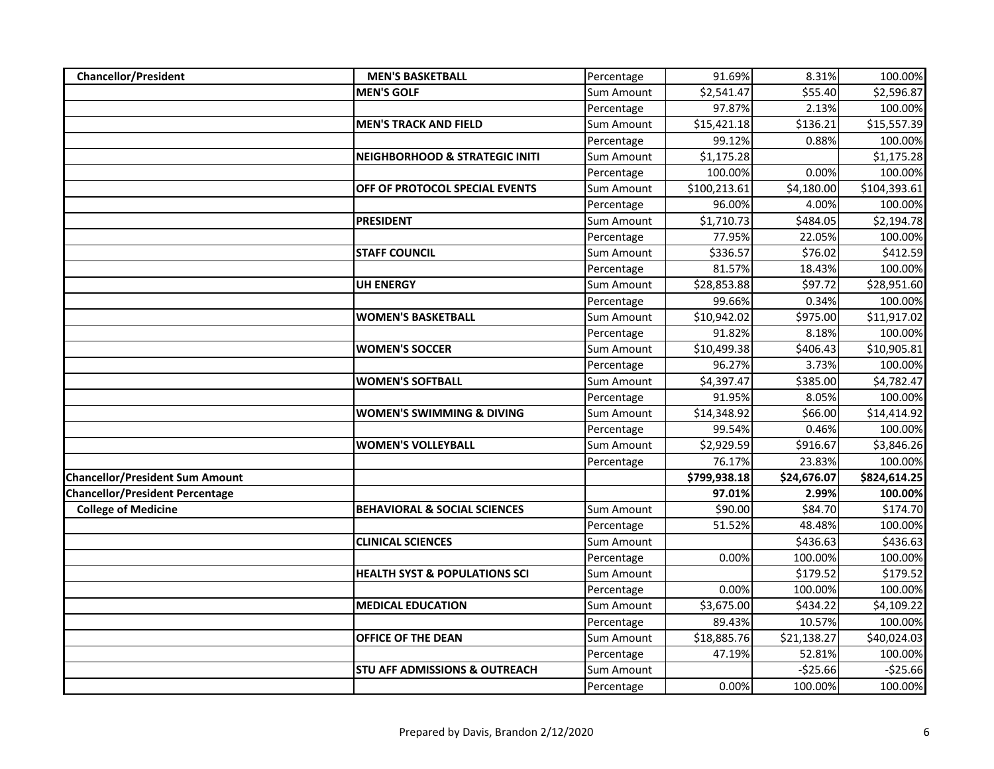| <b>Chancellor/President</b>            | <b>MEN'S BASKETBALL</b>                   | Percentage | 91.69%       | 8.31%       | 100.00%      |
|----------------------------------------|-------------------------------------------|------------|--------------|-------------|--------------|
|                                        | <b>MEN'S GOLF</b>                         | Sum Amount | \$2,541.47   | \$55.40     | \$2,596.87   |
|                                        |                                           | Percentage | 97.87%       | 2.13%       | 100.00%      |
|                                        | <b>MEN'S TRACK AND FIELD</b>              | Sum Amount | \$15,421.18  | \$136.21    | \$15,557.39  |
|                                        |                                           | Percentage | 99.12%       | 0.88%       | 100.00%      |
|                                        | <b>NEIGHBORHOOD &amp; STRATEGIC INITI</b> | Sum Amount | \$1,175.28   |             | \$1,175.28   |
|                                        |                                           | Percentage | 100.00%      | 0.00%       | 100.00%      |
|                                        | OFF OF PROTOCOL SPECIAL EVENTS            | Sum Amount | \$100,213.61 | \$4,180.00  | \$104,393.61 |
|                                        |                                           | Percentage | 96.00%       | 4.00%       | 100.00%      |
|                                        | <b>PRESIDENT</b>                          | Sum Amount | \$1,710.73   | \$484.05    | \$2,194.78   |
|                                        |                                           | Percentage | 77.95%       | 22.05%      | 100.00%      |
|                                        | <b>STAFF COUNCIL</b>                      | Sum Amount | \$336.57     | \$76.02     | \$412.59     |
|                                        |                                           | Percentage | 81.57%       | 18.43%      | 100.00%      |
|                                        | <b>UH ENERGY</b>                          | Sum Amount | \$28,853.88  | \$97.72     | \$28,951.60  |
|                                        |                                           | Percentage | 99.66%       | 0.34%       | 100.00%      |
|                                        | <b>WOMEN'S BASKETBALL</b>                 | Sum Amount | \$10,942.02  | \$975.00    | \$11,917.02  |
|                                        |                                           | Percentage | 91.82%       | 8.18%       | 100.00%      |
|                                        | <b>WOMEN'S SOCCER</b>                     | Sum Amount | \$10,499.38  | \$406.43    | \$10,905.81  |
|                                        |                                           | Percentage | 96.27%       | 3.73%       | 100.00%      |
|                                        | <b>WOMEN'S SOFTBALL</b>                   | Sum Amount | \$4,397.47   | \$385.00    | \$4,782.47   |
|                                        |                                           | Percentage | 91.95%       | 8.05%       | 100.00%      |
|                                        | <b>WOMEN'S SWIMMING &amp; DIVING</b>      | Sum Amount | \$14,348.92  | \$66.00     | \$14,414.92  |
|                                        |                                           | Percentage | 99.54%       | 0.46%       | 100.00%      |
|                                        | <b>WOMEN'S VOLLEYBALL</b>                 | Sum Amount | \$2,929.59   | \$916.67    | \$3,846.26   |
|                                        |                                           | Percentage | 76.17%       | 23.83%      | 100.00%      |
| <b>Chancellor/President Sum Amount</b> |                                           |            | \$799,938.18 | \$24,676.07 | \$824,614.25 |
| <b>Chancellor/President Percentage</b> |                                           |            | 97.01%       | 2.99%       | 100.00%      |
| <b>College of Medicine</b>             | <b>BEHAVIORAL &amp; SOCIAL SCIENCES</b>   | Sum Amount | \$90.00      | \$84.70     | \$174.70     |
|                                        |                                           | Percentage | 51.52%       | 48.48%      | 100.00%      |
|                                        | <b>CLINICAL SCIENCES</b>                  | Sum Amount |              | \$436.63    | \$436.63     |
|                                        |                                           | Percentage | 0.00%        | 100.00%     | 100.00%      |
|                                        | <b>HEALTH SYST &amp; POPULATIONS SCI</b>  | Sum Amount |              | \$179.52    | \$179.52     |
|                                        |                                           | Percentage | 0.00%        | 100.00%     | 100.00%      |
|                                        | <b>MEDICAL EDUCATION</b>                  | Sum Amount | \$3,675.00   | \$434.22    | \$4,109.22   |
|                                        |                                           | Percentage | 89.43%       | 10.57%      | 100.00%      |
|                                        | OFFICE OF THE DEAN                        | Sum Amount | \$18,885.76  | \$21,138.27 | \$40,024.03  |
|                                        |                                           | Percentage | 47.19%       | 52.81%      | 100.00%      |
|                                        | <b>STU AFF ADMISSIONS &amp; OUTREACH</b>  | Sum Amount |              | $-525.66$   | $-525.66$    |
|                                        |                                           | Percentage | 0.00%        | 100.00%     | 100.00%      |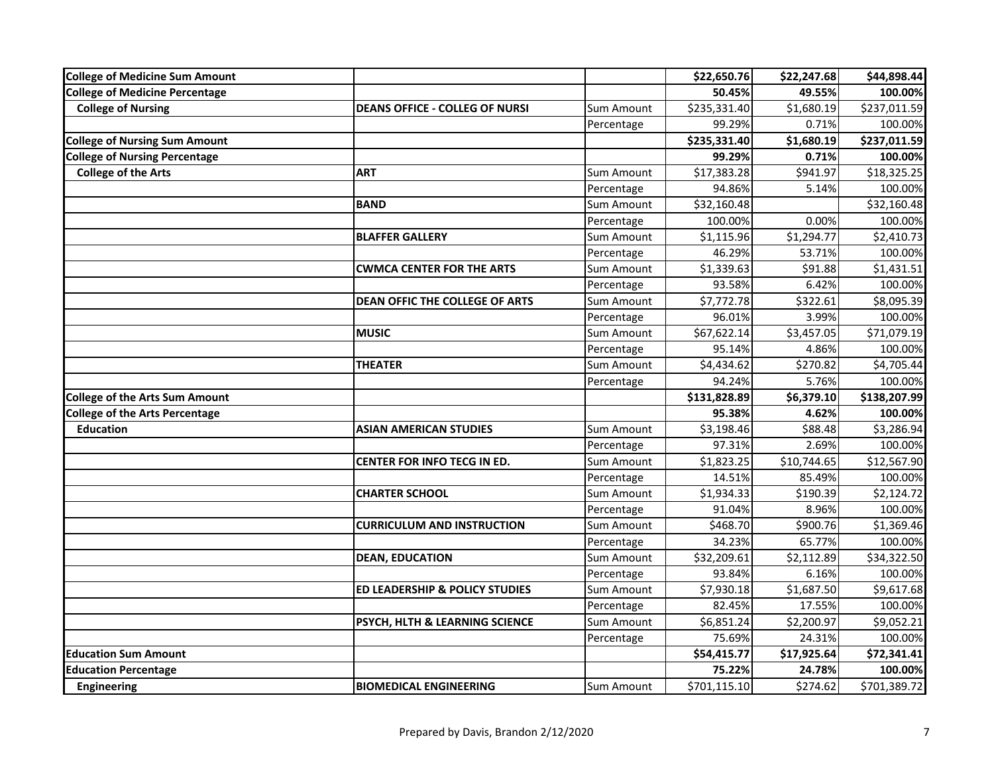| <b>College of Medicine Sum Amount</b> |                                       |                   | \$22,650.76  | \$22,247.68 | \$44,898.44  |
|---------------------------------------|---------------------------------------|-------------------|--------------|-------------|--------------|
| <b>College of Medicine Percentage</b> |                                       |                   | 50.45%       | 49.55%      | 100.00%      |
| <b>College of Nursing</b>             | <b>DEANS OFFICE - COLLEG OF NURSI</b> | <b>Sum Amount</b> | \$235,331.40 | \$1,680.19  | \$237,011.59 |
|                                       |                                       | Percentage        | 99.29%       | 0.71%       | 100.00%      |
| <b>College of Nursing Sum Amount</b>  |                                       |                   | \$235,331.40 | \$1,680.19  | \$237,011.59 |
| <b>College of Nursing Percentage</b>  |                                       |                   | 99.29%       | 0.71%       | 100.00%      |
| <b>College of the Arts</b>            | <b>ART</b>                            | <b>Sum Amount</b> | \$17,383.28  | \$941.97    | \$18,325.25  |
|                                       |                                       | Percentage        | 94.86%       | 5.14%       | 100.00%      |
|                                       | <b>BAND</b>                           | Sum Amount        | \$32,160.48  |             | \$32,160.48  |
|                                       |                                       | Percentage        | 100.00%      | 0.00%       | 100.00%      |
|                                       | <b>BLAFFER GALLERY</b>                | Sum Amount        | \$1,115.96   | \$1,294.77  | \$2,410.73   |
|                                       |                                       | Percentage        | 46.29%       | 53.71%      | 100.00%      |
|                                       | <b>CWMCA CENTER FOR THE ARTS</b>      | Sum Amount        | \$1,339.63   | \$91.88     | \$1,431.51   |
|                                       |                                       | Percentage        | 93.58%       | 6.42%       | 100.00%      |
|                                       | <b>DEAN OFFIC THE COLLEGE OF ARTS</b> | <b>Sum Amount</b> | \$7,772.78   | \$322.61    | \$8,095.39   |
|                                       |                                       | Percentage        | 96.01%       | 3.99%       | 100.00%      |
|                                       | <b>MUSIC</b>                          | Sum Amount        | \$67,622.14  | \$3,457.05  | \$71,079.19  |
|                                       |                                       | Percentage        | 95.14%       | 4.86%       | 100.00%      |
|                                       | <b>THEATER</b>                        | Sum Amount        | \$4,434.62   | \$270.82    | \$4,705.44   |
|                                       |                                       | Percentage        | 94.24%       | 5.76%       | 100.00%      |
| <b>College of the Arts Sum Amount</b> |                                       |                   | \$131,828.89 | \$6,379.10  | \$138,207.99 |
| <b>College of the Arts Percentage</b> |                                       |                   | 95.38%       | 4.62%       | 100.00%      |
| <b>Education</b>                      | <b>ASIAN AMERICAN STUDIES</b>         | <b>Sum Amount</b> | \$3,198.46   | \$88.48     | \$3,286.94   |
|                                       |                                       | Percentage        | 97.31%       | 2.69%       | 100.00%      |
|                                       | CENTER FOR INFO TECG IN ED.           | Sum Amount        | \$1,823.25   | \$10,744.65 | \$12,567.90  |
|                                       |                                       | Percentage        | 14.51%       | 85.49%      | 100.00%      |
|                                       | <b>CHARTER SCHOOL</b>                 | Sum Amount        | \$1,934.33   | \$190.39    | \$2,124.72   |
|                                       |                                       | Percentage        | 91.04%       | 8.96%       | 100.00%      |
|                                       | <b>CURRICULUM AND INSTRUCTION</b>     | <b>Sum Amount</b> | \$468.70     | \$900.76    | \$1,369.46   |
|                                       |                                       | Percentage        | 34.23%       | 65.77%      | 100.00%      |
|                                       | <b>DEAN, EDUCATION</b>                | Sum Amount        | \$32,209.61  | \$2,112.89  | \$34,322.50  |
|                                       |                                       | Percentage        | 93.84%       | 6.16%       | 100.00%      |
|                                       | ED LEADERSHIP & POLICY STUDIES        | Sum Amount        | \$7,930.18   | \$1,687.50  | \$9,617.68   |
|                                       |                                       | Percentage        | 82.45%       | 17.55%      | 100.00%      |
|                                       | PSYCH, HLTH & LEARNING SCIENCE        | <b>Sum Amount</b> | \$6,851.24   | \$2,200.97  | \$9,052.21   |
|                                       |                                       | Percentage        | 75.69%       | 24.31%      | 100.00%      |
| <b>Education Sum Amount</b>           |                                       |                   | \$54,415.77  | \$17,925.64 | \$72,341.41  |
| <b>Education Percentage</b>           |                                       |                   | 75.22%       | 24.78%      | 100.00%      |
| <b>Engineering</b>                    | <b>BIOMEDICAL ENGINEERING</b>         | Sum Amount        | \$701,115.10 | \$274.62    | \$701,389.72 |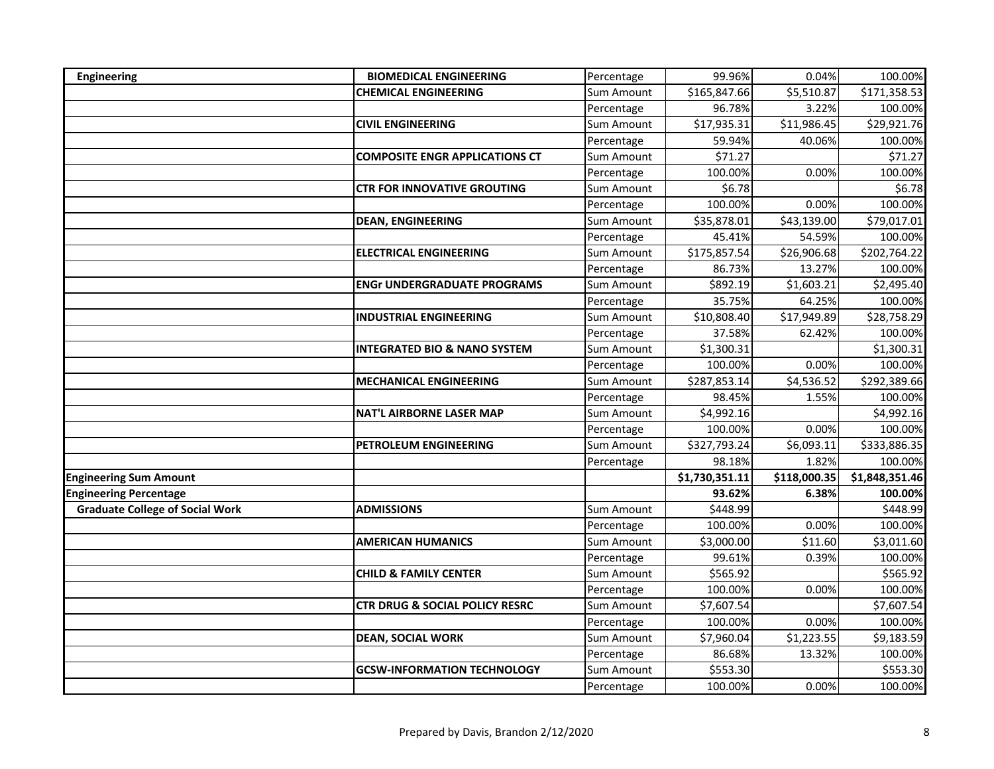| <b>Engineering</b>                     | <b>BIOMEDICAL ENGINEERING</b>             | Percentage        | 99.96%         | 0.04%        | 100.00%        |
|----------------------------------------|-------------------------------------------|-------------------|----------------|--------------|----------------|
|                                        | <b>CHEMICAL ENGINEERING</b>               | <b>Sum Amount</b> | \$165,847.66   | \$5,510.87   | \$171,358.53   |
|                                        |                                           | Percentage        | 96.78%         | 3.22%        | 100.00%        |
|                                        | <b>CIVIL ENGINEERING</b>                  | Sum Amount        | \$17,935.31    | \$11,986.45  | \$29,921.76    |
|                                        |                                           | Percentage        | 59.94%         | 40.06%       | 100.00%        |
|                                        | <b>COMPOSITE ENGR APPLICATIONS CT</b>     | Sum Amount        | \$71.27        |              | \$71.27        |
|                                        |                                           | Percentage        | 100.00%        | 0.00%        | 100.00%        |
|                                        | <b>CTR FOR INNOVATIVE GROUTING</b>        | Sum Amount        | \$6.78         |              | \$6.78         |
|                                        |                                           | Percentage        | 100.00%        | 0.00%        | 100.00%        |
|                                        | <b>DEAN, ENGINEERING</b>                  | Sum Amount        | \$35,878.01    | \$43,139.00  | \$79,017.01    |
|                                        |                                           | Percentage        | 45.41%         | 54.59%       | 100.00%        |
|                                        | <b>ELECTRICAL ENGINEERING</b>             | Sum Amount        | \$175,857.54   | \$26,906.68  | \$202,764.22   |
|                                        |                                           | Percentage        | 86.73%         | 13.27%       | 100.00%        |
|                                        | <b>ENGr UNDERGRADUATE PROGRAMS</b>        | Sum Amount        | \$892.19       | \$1,603.21   | \$2,495.40     |
|                                        |                                           | Percentage        | 35.75%         | 64.25%       | 100.00%        |
|                                        | <b>INDUSTRIAL ENGINEERING</b>             | <b>Sum Amount</b> | \$10,808.40    | \$17,949.89  | \$28,758.29    |
|                                        |                                           | Percentage        | 37.58%         | 62.42%       | 100.00%        |
|                                        | <b>INTEGRATED BIO &amp; NANO SYSTEM</b>   | Sum Amount        | \$1,300.31     |              | \$1,300.31     |
|                                        |                                           | Percentage        | 100.00%        | 0.00%        | 100.00%        |
|                                        | <b>MECHANICAL ENGINEERING</b>             | Sum Amount        | \$287,853.14   | \$4,536.52   | \$292,389.66   |
|                                        |                                           | Percentage        | 98.45%         | 1.55%        | 100.00%        |
|                                        | <b>NAT'L AIRBORNE LASER MAP</b>           | Sum Amount        | \$4,992.16     |              | \$4,992.16     |
|                                        |                                           | Percentage        | 100.00%        | 0.00%        | 100.00%        |
|                                        | PETROLEUM ENGINEERING                     | Sum Amount        | \$327,793.24   | \$6,093.11   | \$333,886.35   |
|                                        |                                           | Percentage        | 98.18%         | 1.82%        | 100.00%        |
| <b>Engineering Sum Amount</b>          |                                           |                   | \$1,730,351.11 | \$118,000.35 | \$1,848,351.46 |
| <b>Engineering Percentage</b>          |                                           |                   | 93.62%         | 6.38%        | 100.00%        |
| <b>Graduate College of Social Work</b> | <b>ADMISSIONS</b>                         | <b>Sum Amount</b> | \$448.99       |              | \$448.99       |
|                                        |                                           | Percentage        | 100.00%        | 0.00%        | 100.00%        |
|                                        | <b>AMERICAN HUMANICS</b>                  | Sum Amount        | \$3,000.00     | \$11.60      | \$3,011.60     |
|                                        |                                           | Percentage        | 99.61%         | 0.39%        | 100.00%        |
|                                        | <b>CHILD &amp; FAMILY CENTER</b>          | Sum Amount        | \$565.92       |              | \$565.92       |
|                                        |                                           | Percentage        | 100.00%        | 0.00%        | 100.00%        |
|                                        | <b>CTR DRUG &amp; SOCIAL POLICY RESRC</b> | Sum Amount        | \$7,607.54     |              | \$7,607.54     |
|                                        |                                           | Percentage        | 100.00%        | 0.00%        | 100.00%        |
|                                        | <b>DEAN, SOCIAL WORK</b>                  | Sum Amount        | \$7,960.04     | \$1,223.55   | \$9,183.59     |
|                                        |                                           | Percentage        | 86.68%         | 13.32%       | 100.00%        |
|                                        | <b>GCSW-INFORMATION TECHNOLOGY</b>        | Sum Amount        | \$553.30       |              | \$553.30       |
|                                        |                                           | Percentage        | 100.00%        | 0.00%        | 100.00%        |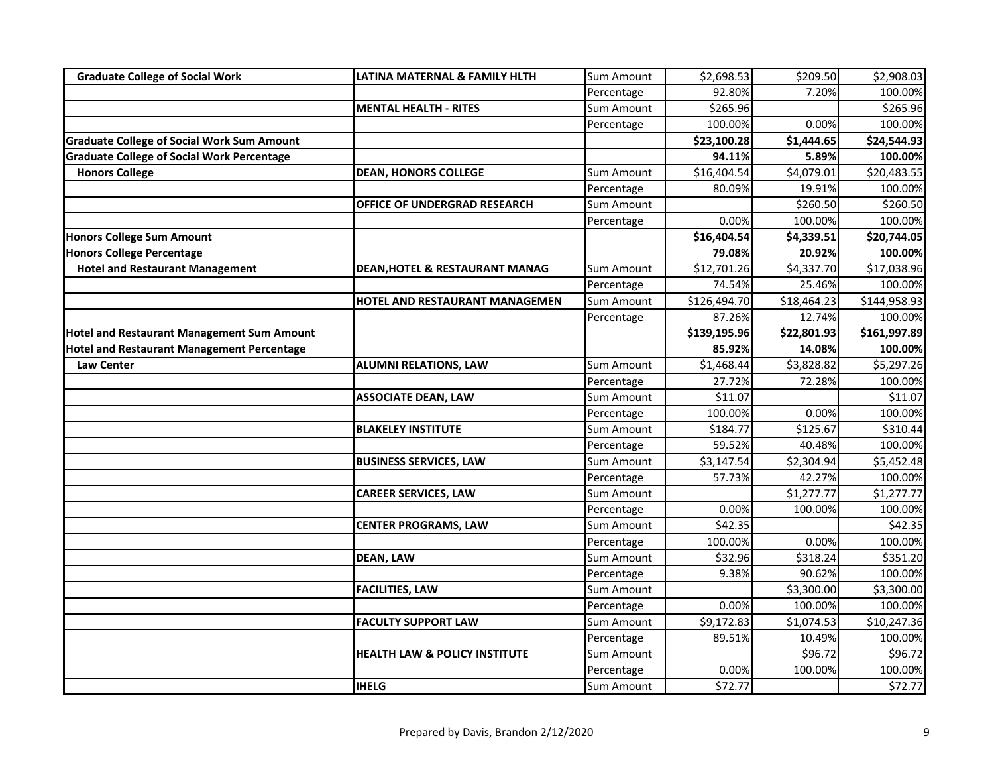| <b>Graduate College of Social Work</b>            | LATINA MATERNAL & FAMILY HLTH             | Sum Amount        | \$2,698.53   | \$209.50    | \$2,908.03   |
|---------------------------------------------------|-------------------------------------------|-------------------|--------------|-------------|--------------|
|                                                   |                                           | Percentage        | 92.80%       | 7.20%       | 100.00%      |
|                                                   | <b>MENTAL HEALTH - RITES</b>              | Sum Amount        | \$265.96     |             | \$265.96     |
|                                                   |                                           | Percentage        | 100.00%      | 0.00%       | 100.00%      |
| <b>Graduate College of Social Work Sum Amount</b> |                                           |                   | \$23,100.28  | \$1,444.65  | \$24,544.93  |
| <b>Graduate College of Social Work Percentage</b> |                                           |                   | 94.11%       | 5.89%       | 100.00%      |
| <b>Honors College</b>                             | <b>DEAN, HONORS COLLEGE</b>               | <b>Sum Amount</b> | \$16,404.54  | \$4,079.01  | \$20,483.55  |
|                                                   |                                           | Percentage        | 80.09%       | 19.91%      | 100.00%      |
|                                                   | OFFICE OF UNDERGRAD RESEARCH              | Sum Amount        |              | \$260.50    | \$260.50     |
|                                                   |                                           | Percentage        | 0.00%        | 100.00%     | 100.00%      |
| <b>Honors College Sum Amount</b>                  |                                           |                   | \$16,404.54  | \$4,339.51  | \$20,744.05  |
| <b>Honors College Percentage</b>                  |                                           |                   | 79.08%       | 20.92%      | 100.00%      |
| <b>Hotel and Restaurant Management</b>            | <b>DEAN, HOTEL &amp; RESTAURANT MANAG</b> | Sum Amount        | \$12,701.26  | \$4,337.70  | \$17,038.96  |
|                                                   |                                           | Percentage        | 74.54%       | 25.46%      | 100.00%      |
|                                                   | HOTEL AND RESTAURANT MANAGEMEN            | Sum Amount        | \$126,494.70 | \$18,464.23 | \$144,958.93 |
|                                                   |                                           | Percentage        | 87.26%       | 12.74%      | 100.00%      |
| <b>Hotel and Restaurant Management Sum Amount</b> |                                           |                   | \$139,195.96 | \$22,801.93 | \$161,997.89 |
| <b>Hotel and Restaurant Management Percentage</b> |                                           |                   | 85.92%       | 14.08%      | 100.00%      |
| <b>Law Center</b>                                 | <b>ALUMNI RELATIONS, LAW</b>              | Sum Amount        | \$1,468.44   | \$3,828.82  | \$5,297.26   |
|                                                   |                                           | Percentage        | 27.72%       | 72.28%      | 100.00%      |
|                                                   | <b>ASSOCIATE DEAN, LAW</b>                | Sum Amount        | \$11.07      |             | \$11.07      |
|                                                   |                                           | Percentage        | 100.00%      | 0.00%       | 100.00%      |
|                                                   | <b>BLAKELEY INSTITUTE</b>                 | Sum Amount        | \$184.77     | \$125.67    | \$310.44     |
|                                                   |                                           | Percentage        | 59.52%       | 40.48%      | 100.00%      |
|                                                   | <b>BUSINESS SERVICES, LAW</b>             | <b>Sum Amount</b> | \$3,147.54   | \$2,304.94  | \$5,452.48   |
|                                                   |                                           | Percentage        | 57.73%       | 42.27%      | 100.00%      |
|                                                   | <b>CAREER SERVICES, LAW</b>               | Sum Amount        |              | \$1,277.77  | \$1,277.77   |
|                                                   |                                           | Percentage        | 0.00%        | 100.00%     | 100.00%      |
|                                                   | <b>CENTER PROGRAMS, LAW</b>               | Sum Amount        | \$42.35      |             | \$42.35      |
|                                                   |                                           | Percentage        | 100.00%      | 0.00%       | 100.00%      |
|                                                   | <b>DEAN, LAW</b>                          | Sum Amount        | \$32.96      | \$318.24    | \$351.20     |
|                                                   |                                           | Percentage        | 9.38%        | 90.62%      | 100.00%      |
|                                                   | <b>FACILITIES, LAW</b>                    | Sum Amount        |              | \$3,300.00  | \$3,300.00   |
|                                                   |                                           | Percentage        | 0.00%        | 100.00%     | 100.00%      |
|                                                   | <b>FACULTY SUPPORT LAW</b>                | Sum Amount        | \$9,172.83   | \$1,074.53  | \$10,247.36  |
|                                                   |                                           | Percentage        | 89.51%       | 10.49%      | 100.00%      |
|                                                   | <b>HEALTH LAW &amp; POLICY INSTITUTE</b>  | Sum Amount        |              | \$96.72     | \$96.72      |
|                                                   |                                           | Percentage        | 0.00%        | 100.00%     | 100.00%      |
|                                                   | <b>IHELG</b>                              | Sum Amount        | \$72.77      |             | \$72.77      |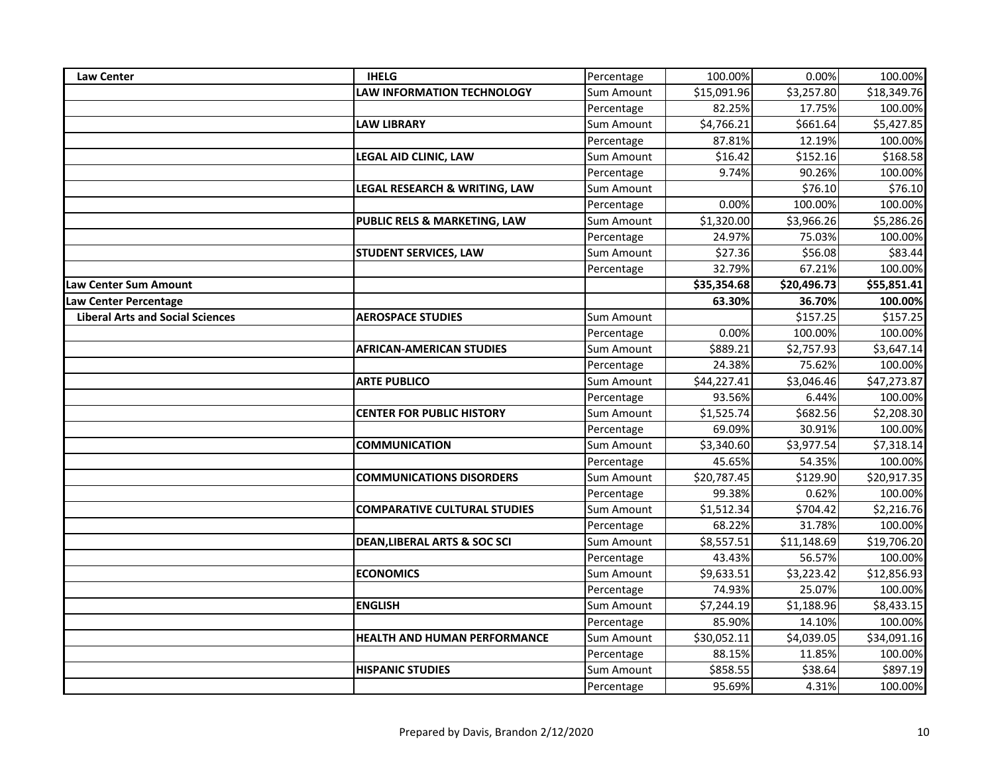| <b>Law Center</b>                       | <b>IHELG</b>                            | Percentage        | 100.00%     | 0.00%       | 100.00%     |
|-----------------------------------------|-----------------------------------------|-------------------|-------------|-------------|-------------|
|                                         | <b>LAW INFORMATION TECHNOLOGY</b>       | <b>Sum Amount</b> | \$15,091.96 | \$3,257.80  | \$18,349.76 |
|                                         |                                         | Percentage        | 82.25%      | 17.75%      | 100.00%     |
|                                         | <b>LAW LIBRARY</b>                      | Sum Amount        | \$4,766.21  | \$661.64    | \$5,427.85  |
|                                         |                                         | Percentage        | 87.81%      | 12.19%      | 100.00%     |
|                                         | LEGAL AID CLINIC, LAW                   | Sum Amount        | \$16.42     | \$152.16    | \$168.58    |
|                                         |                                         | Percentage        | 9.74%       | 90.26%      | 100.00%     |
|                                         | LEGAL RESEARCH & WRITING, LAW           | Sum Amount        |             | \$76.10     | \$76.10     |
|                                         |                                         | Percentage        | 0.00%       | 100.00%     | 100.00%     |
|                                         | PUBLIC RELS & MARKETING, LAW            | Sum Amount        | \$1,320.00  | \$3,966.26  | \$5,286.26  |
|                                         |                                         | Percentage        | 24.97%      | 75.03%      | 100.00%     |
|                                         | <b>STUDENT SERVICES, LAW</b>            | Sum Amount        | \$27.36     | \$56.08     | \$83.44     |
|                                         |                                         | Percentage        | 32.79%      | 67.21%      | 100.00%     |
| <b>Law Center Sum Amount</b>            |                                         |                   | \$35,354.68 | \$20,496.73 | \$55,851.41 |
| Law Center Percentage                   |                                         |                   | 63.30%      | 36.70%      | 100.00%     |
| <b>Liberal Arts and Social Sciences</b> | <b>AEROSPACE STUDIES</b>                | Sum Amount        |             | \$157.25    | \$157.25    |
|                                         |                                         | Percentage        | 0.00%       | 100.00%     | 100.00%     |
|                                         | <b>AFRICAN-AMERICAN STUDIES</b>         | Sum Amount        | \$889.21    | \$2,757.93  | \$3,647.14  |
|                                         |                                         | Percentage        | 24.38%      | 75.62%      | 100.00%     |
|                                         | <b>ARTE PUBLICO</b>                     | Sum Amount        | \$44,227.41 | \$3,046.46  | \$47,273.87 |
|                                         |                                         | Percentage        | 93.56%      | 6.44%       | 100.00%     |
|                                         | <b>CENTER FOR PUBLIC HISTORY</b>        | Sum Amount        | \$1,525.74  | \$682.56    | \$2,208.30  |
|                                         |                                         | Percentage        | 69.09%      | 30.91%      | 100.00%     |
|                                         | <b>COMMUNICATION</b>                    | Sum Amount        | \$3,340.60  | \$3,977.54  | \$7,318.14  |
|                                         |                                         | Percentage        | 45.65%      | 54.35%      | 100.00%     |
|                                         | <b>COMMUNICATIONS DISORDERS</b>         | Sum Amount        | \$20,787.45 | \$129.90    | \$20,917.35 |
|                                         |                                         | Percentage        | 99.38%      | 0.62%       | 100.00%     |
|                                         | <b>COMPARATIVE CULTURAL STUDIES</b>     | Sum Amount        | \$1,512.34  | \$704.42    | \$2,216.76  |
|                                         |                                         | Percentage        | 68.22%      | 31.78%      | 100.00%     |
|                                         | <b>DEAN, LIBERAL ARTS &amp; SOC SCI</b> | Sum Amount        | \$8,557.51  | \$11,148.69 | \$19,706.20 |
|                                         |                                         | Percentage        | 43.43%      | 56.57%      | 100.00%     |
|                                         | <b>ECONOMICS</b>                        | Sum Amount        | \$9,633.51  | \$3,223.42  | \$12,856.93 |
|                                         |                                         | Percentage        | 74.93%      | 25.07%      | 100.00%     |
|                                         | <b>ENGLISH</b>                          | Sum Amount        | \$7,244.19  | \$1,188.96  | \$8,433.15  |
|                                         |                                         | Percentage        | 85.90%      | 14.10%      | 100.00%     |
|                                         | <b>HEALTH AND HUMAN PERFORMANCE</b>     | Sum Amount        | \$30,052.11 | \$4,039.05  | \$34,091.16 |
|                                         |                                         | Percentage        | 88.15%      | 11.85%      | 100.00%     |
|                                         | <b>HISPANIC STUDIES</b>                 | Sum Amount        | \$858.55    | \$38.64     | \$897.19    |
|                                         |                                         | Percentage        | 95.69%      | 4.31%       | 100.00%     |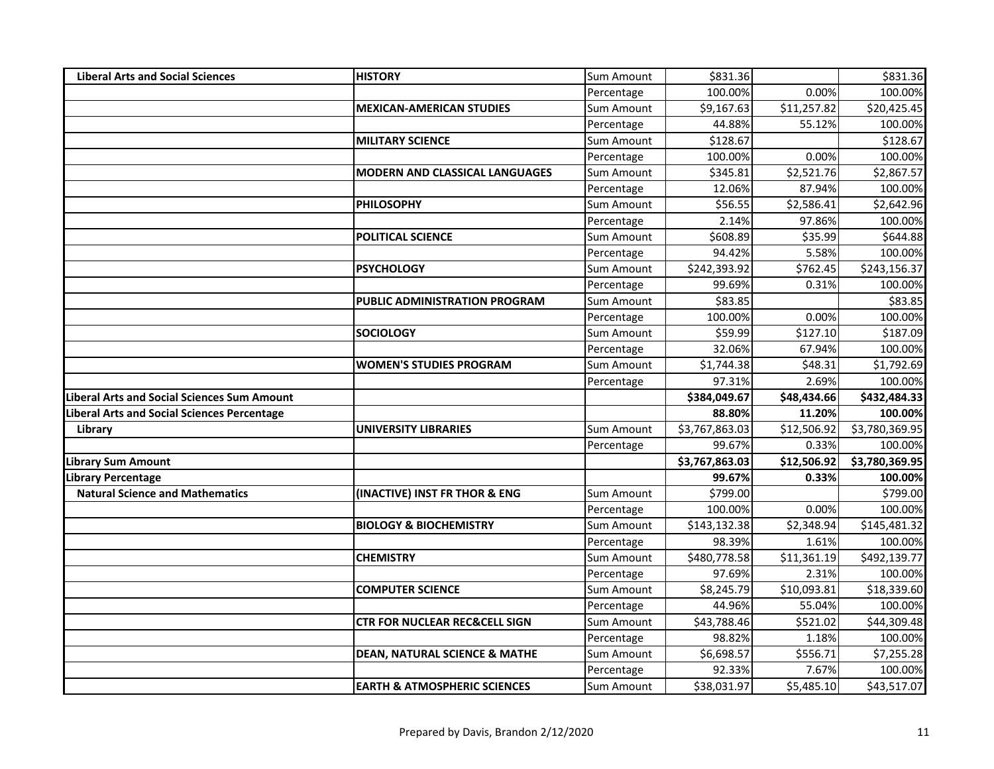| <b>Liberal Arts and Social Sciences</b>            | <b>HISTORY</b>                           | Sum Amount | \$831.36       |             | \$831.36       |
|----------------------------------------------------|------------------------------------------|------------|----------------|-------------|----------------|
|                                                    |                                          | Percentage | 100.00%        | 0.00%       | 100.00%        |
|                                                    | <b>MEXICAN-AMERICAN STUDIES</b>          | Sum Amount | \$9,167.63     | \$11,257.82 | \$20,425.45    |
|                                                    |                                          | Percentage | 44.88%         | 55.12%      | 100.00%        |
|                                                    | <b>MILITARY SCIENCE</b>                  | Sum Amount | \$128.67       |             | \$128.67       |
|                                                    |                                          | Percentage | 100.00%        | 0.00%       | 100.00%        |
|                                                    | <b>MODERN AND CLASSICAL LANGUAGES</b>    | Sum Amount | \$345.81       | \$2,521.76  | \$2,867.57     |
|                                                    |                                          | Percentage | 12.06%         | 87.94%      | 100.00%        |
|                                                    | <b>PHILOSOPHY</b>                        | Sum Amount | \$56.55        | \$2,586.41  | \$2,642.96     |
|                                                    |                                          | Percentage | 2.14%          | 97.86%      | 100.00%        |
|                                                    | POLITICAL SCIENCE                        | Sum Amount | \$608.89       | \$35.99     | \$644.88       |
|                                                    |                                          | Percentage | 94.42%         | 5.58%       | 100.00%        |
|                                                    | <b>PSYCHOLOGY</b>                        | Sum Amount | \$242,393.92   | \$762.45    | \$243,156.37   |
|                                                    |                                          | Percentage | 99.69%         | 0.31%       | 100.00%        |
|                                                    | <b>PUBLIC ADMINISTRATION PROGRAM</b>     | Sum Amount | \$83.85        |             | \$83.85        |
|                                                    |                                          | Percentage | 100.00%        | 0.00%       | 100.00%        |
|                                                    | <b>SOCIOLOGY</b>                         | Sum Amount | \$59.99        | \$127.10    | \$187.09       |
|                                                    |                                          | Percentage | 32.06%         | 67.94%      | 100.00%        |
|                                                    | <b>WOMEN'S STUDIES PROGRAM</b>           | Sum Amount | \$1,744.38     | \$48.31     | \$1,792.69     |
|                                                    |                                          | Percentage | 97.31%         | 2.69%       | 100.00%        |
| <b>Liberal Arts and Social Sciences Sum Amount</b> |                                          |            | \$384,049.67   | \$48,434.66 | \$432,484.33   |
| Liberal Arts and Social Sciences Percentage        |                                          |            | 88.80%         | 11.20%      | 100.00%        |
| Library                                            | <b>UNIVERSITY LIBRARIES</b>              | Sum Amount | \$3,767,863.03 | \$12,506.92 | \$3,780,369.95 |
|                                                    |                                          | Percentage | 99.67%         | 0.33%       | 100.00%        |
| <b>Library Sum Amount</b>                          |                                          |            | \$3,767,863.03 | \$12,506.92 | \$3,780,369.95 |
| <b>Library Percentage</b>                          |                                          |            | 99.67%         | 0.33%       | 100.00%        |
| <b>Natural Science and Mathematics</b>             | (INACTIVE) INST FR THOR & ENG            | Sum Amount | \$799.00       |             | \$799.00       |
|                                                    |                                          | Percentage | 100.00%        | 0.00%       | 100.00%        |
|                                                    | <b>BIOLOGY &amp; BIOCHEMISTRY</b>        | Sum Amount | \$143,132.38   | \$2,348.94  | \$145,481.32   |
|                                                    |                                          | Percentage | 98.39%         | 1.61%       | 100.00%        |
|                                                    | <b>CHEMISTRY</b>                         | Sum Amount | \$480,778.58   | \$11,361.19 | \$492,139.77   |
|                                                    |                                          | Percentage | 97.69%         | 2.31%       | 100.00%        |
|                                                    | <b>COMPUTER SCIENCE</b>                  | Sum Amount | \$8,245.79     | \$10,093.81 | \$18,339.60    |
|                                                    |                                          | Percentage | 44.96%         | 55.04%      | 100.00%        |
|                                                    | <b>CTR FOR NUCLEAR REC&amp;CELL SIGN</b> | Sum Amount | \$43,788.46    | \$521.02    | \$44,309.48    |
|                                                    |                                          | Percentage | 98.82%         | 1.18%       | 100.00%        |
|                                                    | <b>DEAN, NATURAL SCIENCE &amp; MATHE</b> | Sum Amount | \$6,698.57     | \$556.71    | \$7,255.28     |
|                                                    |                                          | Percentage | 92.33%         | 7.67%       | 100.00%        |
|                                                    | <b>EARTH &amp; ATMOSPHERIC SCIENCES</b>  | Sum Amount | \$38,031.97    | \$5,485.10  | \$43,517.07    |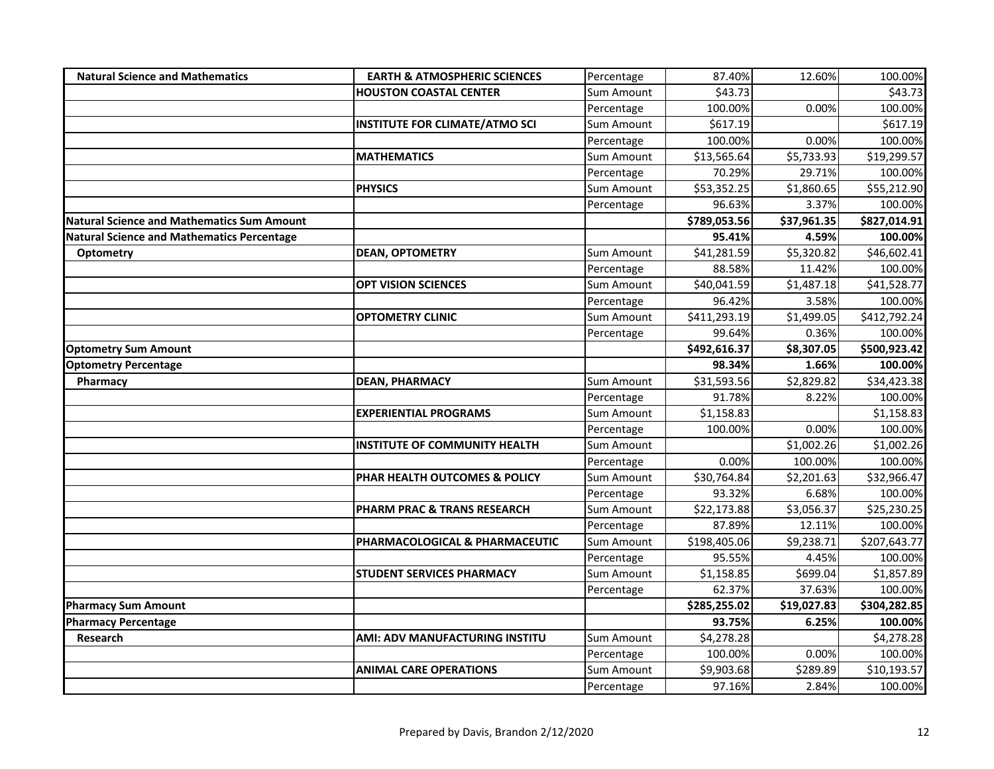| <b>Natural Science and Mathematics</b>            | <b>EARTH &amp; ATMOSPHERIC SCIENCES</b> | Percentage        | 87.40%       | 12.60%      | 100.00%      |
|---------------------------------------------------|-----------------------------------------|-------------------|--------------|-------------|--------------|
|                                                   | <b>HOUSTON COASTAL CENTER</b>           | Sum Amount        | \$43.73      |             | \$43.73      |
|                                                   |                                         | Percentage        | 100.00%      | 0.00%       | 100.00%      |
|                                                   | <b>INSTITUTE FOR CLIMATE/ATMO SCI</b>   | Sum Amount        | \$617.19     |             | \$617.19     |
|                                                   |                                         | Percentage        | 100.00%      | 0.00%       | 100.00%      |
|                                                   | <b>MATHEMATICS</b>                      | Sum Amount        | \$13,565.64  | \$5,733.93  | \$19,299.57  |
|                                                   |                                         | Percentage        | 70.29%       | 29.71%      | 100.00%      |
|                                                   | <b>PHYSICS</b>                          | Sum Amount        | \$53,352.25  | \$1,860.65  | \$55,212.90  |
|                                                   |                                         | Percentage        | 96.63%       | 3.37%       | 100.00%      |
| <b>Natural Science and Mathematics Sum Amount</b> |                                         |                   | \$789,053.56 | \$37,961.35 | \$827,014.91 |
| <b>Natural Science and Mathematics Percentage</b> |                                         |                   | 95.41%       | 4.59%       | 100.00%      |
| Optometry                                         | <b>DEAN, OPTOMETRY</b>                  | Sum Amount        | \$41,281.59  | \$5,320.82  | \$46,602.41  |
|                                                   |                                         | Percentage        | 88.58%       | 11.42%      | 100.00%      |
|                                                   | <b>OPT VISION SCIENCES</b>              | Sum Amount        | \$40,041.59  | \$1,487.18  | \$41,528.77  |
|                                                   |                                         | Percentage        | 96.42%       | 3.58%       | 100.00%      |
|                                                   | <b>OPTOMETRY CLINIC</b>                 | <b>Sum Amount</b> | \$411,293.19 | \$1,499.05  | \$412,792.24 |
|                                                   |                                         | Percentage        | 99.64%       | 0.36%       | 100.00%      |
| <b>Optometry Sum Amount</b>                       |                                         |                   | \$492,616.37 | \$8,307.05  | \$500,923.42 |
| <b>Optometry Percentage</b>                       |                                         |                   | 98.34%       | 1.66%       | 100.00%      |
| Pharmacy                                          | <b>DEAN, PHARMACY</b>                   | Sum Amount        | \$31,593.56  | \$2,829.82  | \$34,423.38  |
|                                                   |                                         | Percentage        | 91.78%       | 8.22%       | 100.00%      |
|                                                   | <b>EXPERIENTIAL PROGRAMS</b>            | Sum Amount        | \$1,158.83   |             | \$1,158.83   |
|                                                   |                                         | Percentage        | 100.00%      | 0.00%       | 100.00%      |
|                                                   | INSTITUTE OF COMMUNITY HEALTH           | <b>Sum Amount</b> |              | \$1,002.26  | \$1,002.26   |
|                                                   |                                         | Percentage        | 0.00%        | 100.00%     | 100.00%      |
|                                                   | PHAR HEALTH OUTCOMES & POLICY           | Sum Amount        | \$30,764.84  | \$2,201.63  | \$32,966.47  |
|                                                   |                                         | Percentage        | 93.32%       | 6.68%       | 100.00%      |
|                                                   | <b>PHARM PRAC &amp; TRANS RESEARCH</b>  | Sum Amount        | \$22,173.88  | \$3,056.37  | \$25,230.25  |
|                                                   |                                         | Percentage        | 87.89%       | 12.11%      | 100.00%      |
|                                                   | PHARMACOLOGICAL & PHARMACEUTIC          | Sum Amount        | \$198,405.06 | \$9,238.71  | \$207,643.77 |
|                                                   |                                         | Percentage        | 95.55%       | 4.45%       | 100.00%      |
|                                                   | STUDENT SERVICES PHARMACY               | Sum Amount        | \$1,158.85   | \$699.04    | \$1,857.89   |
|                                                   |                                         | Percentage        | 62.37%       | 37.63%      | 100.00%      |
| <b>Pharmacy Sum Amount</b>                        |                                         |                   | \$285,255.02 | \$19,027.83 | \$304,282.85 |
| <b>Pharmacy Percentage</b>                        |                                         |                   | 93.75%       | 6.25%       | 100.00%      |
| Research                                          | AMI: ADV MANUFACTURING INSTITU          | Sum Amount        | \$4,278.28   |             | \$4,278.28   |
|                                                   |                                         | Percentage        | 100.00%      | 0.00%       | 100.00%      |
|                                                   | <b>ANIMAL CARE OPERATIONS</b>           | Sum Amount        | \$9,903.68   | \$289.89    | \$10,193.57  |
|                                                   |                                         | Percentage        | 97.16%       | 2.84%       | 100.00%      |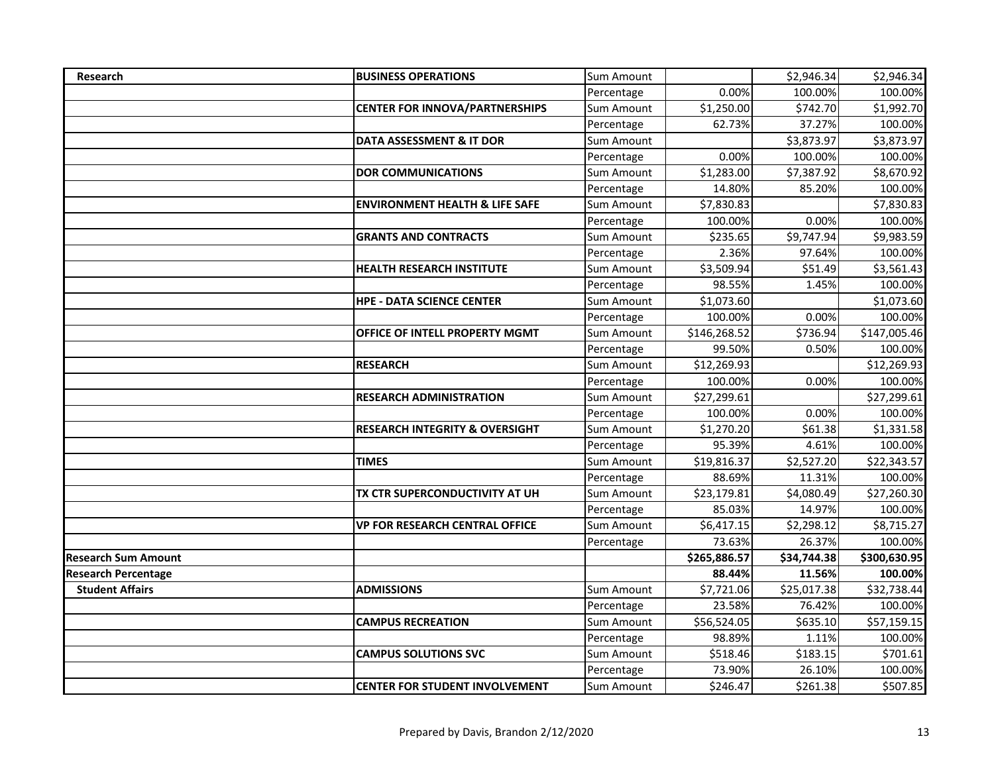| <b>Research</b>            | <b>BUSINESS OPERATIONS</b>                | Sum Amount |              | \$2,946.34  | \$2,946.34   |
|----------------------------|-------------------------------------------|------------|--------------|-------------|--------------|
|                            |                                           | Percentage | 0.00%        | 100.00%     | 100.00%      |
|                            | <b>CENTER FOR INNOVA/PARTNERSHIPS</b>     | Sum Amount | \$1,250.00   | \$742.70    | \$1,992.70   |
|                            |                                           | Percentage | 62.73%       | 37.27%      | 100.00%      |
|                            | DATA ASSESSMENT & IT DOR                  | Sum Amount |              | \$3,873.97  | \$3,873.97   |
|                            |                                           | Percentage | 0.00%        | 100.00%     | 100.00%      |
|                            | <b>DOR COMMUNICATIONS</b>                 | Sum Amount | \$1,283.00   | \$7,387.92  | \$8,670.92   |
|                            |                                           | Percentage | 14.80%       | 85.20%      | 100.00%      |
|                            | <b>ENVIRONMENT HEALTH &amp; LIFE SAFE</b> | Sum Amount | \$7,830.83   |             | \$7,830.83   |
|                            |                                           | Percentage | 100.00%      | 0.00%       | 100.00%      |
|                            | <b>GRANTS AND CONTRACTS</b>               | Sum Amount | \$235.65     | \$9,747.94  | \$9,983.59   |
|                            |                                           | Percentage | 2.36%        | 97.64%      | 100.00%      |
|                            | <b>HEALTH RESEARCH INSTITUTE</b>          | Sum Amount | \$3,509.94   | \$51.49     | \$3,561.43   |
|                            |                                           | Percentage | 98.55%       | 1.45%       | 100.00%      |
|                            | <b>HPE - DATA SCIENCE CENTER</b>          | Sum Amount | \$1,073.60   |             | \$1,073.60   |
|                            |                                           | Percentage | 100.00%      | 0.00%       | 100.00%      |
|                            | OFFICE OF INTELL PROPERTY MGMT            | Sum Amount | \$146,268.52 | \$736.94    | \$147,005.46 |
|                            |                                           | Percentage | 99.50%       | 0.50%       | 100.00%      |
|                            | <b>RESEARCH</b>                           | Sum Amount | \$12,269.93  |             | \$12,269.93  |
|                            |                                           | Percentage | 100.00%      | 0.00%       | 100.00%      |
|                            | <b>RESEARCH ADMINISTRATION</b>            | Sum Amount | \$27,299.61  |             | \$27,299.61  |
|                            |                                           | Percentage | 100.00%      | 0.00%       | 100.00%      |
|                            | <b>RESEARCH INTEGRITY &amp; OVERSIGHT</b> | Sum Amount | \$1,270.20   | \$61.38     | \$1,331.58   |
|                            |                                           | Percentage | 95.39%       | 4.61%       | 100.00%      |
|                            | <b>TIMES</b>                              | Sum Amount | \$19,816.37  | \$2,527.20  | \$22,343.57  |
|                            |                                           | Percentage | 88.69%       | 11.31%      | 100.00%      |
|                            | TX CTR SUPERCONDUCTIVITY AT UH            | Sum Amount | \$23,179.81  | \$4,080.49  | \$27,260.30  |
|                            |                                           | Percentage | 85.03%       | 14.97%      | 100.00%      |
|                            | <b>VP FOR RESEARCH CENTRAL OFFICE</b>     | Sum Amount | \$6,417.15   | \$2,298.12  | \$8,715.27   |
|                            |                                           | Percentage | 73.63%       | 26.37%      | 100.00%      |
| <b>Research Sum Amount</b> |                                           |            | \$265,886.57 | \$34,744.38 | \$300,630.95 |
| <b>Research Percentage</b> |                                           |            | 88.44%       | 11.56%      | 100.00%      |
| <b>Student Affairs</b>     | <b>ADMISSIONS</b>                         | Sum Amount | \$7,721.06   | \$25,017.38 | \$32,738.44  |
|                            |                                           | Percentage | 23.58%       | 76.42%      | 100.00%      |
|                            | <b>CAMPUS RECREATION</b>                  | Sum Amount | \$56,524.05  | \$635.10    | \$57,159.15  |
|                            |                                           | Percentage | 98.89%       | 1.11%       | 100.00%      |
|                            | <b>CAMPUS SOLUTIONS SVC</b>               | Sum Amount | \$518.46     | \$183.15    | \$701.61     |
|                            |                                           | Percentage | 73.90%       | 26.10%      | 100.00%      |
|                            | <b>CENTER FOR STUDENT INVOLVEMENT</b>     | Sum Amount | \$246.47     | \$261.38    | \$507.85     |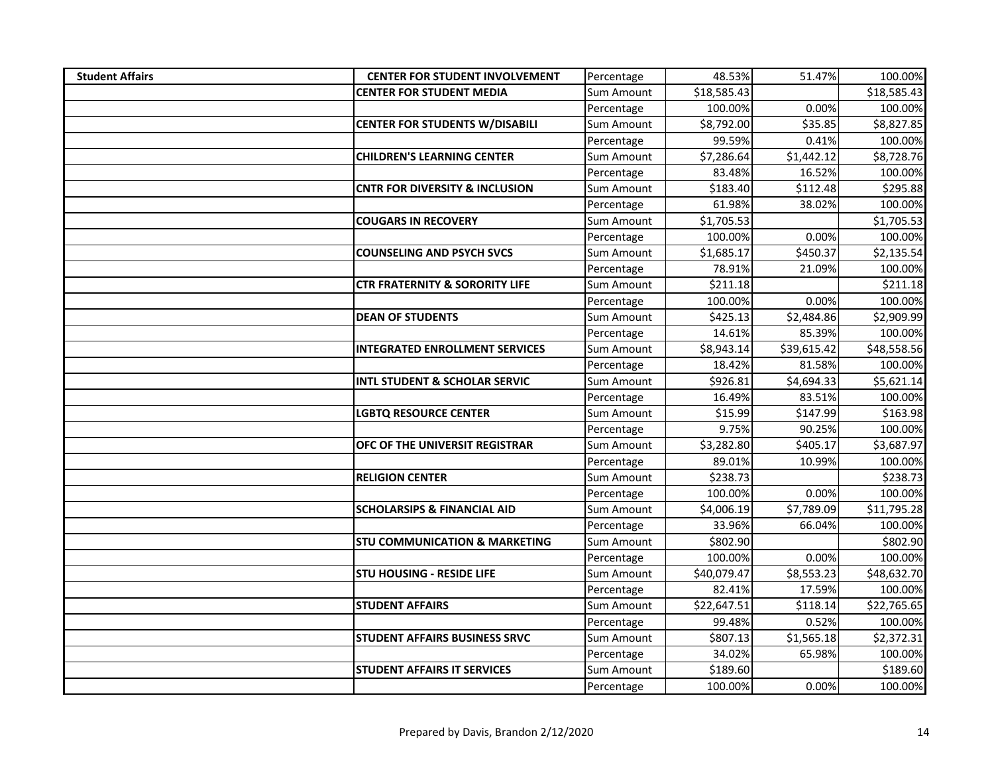| <b>Student Affairs</b> | <b>CENTER FOR STUDENT INVOLVEMENT</b>     | Percentage | 48.53%      | 51.47%      | 100.00%     |
|------------------------|-------------------------------------------|------------|-------------|-------------|-------------|
|                        | <b>CENTER FOR STUDENT MEDIA</b>           | Sum Amount | \$18,585.43 |             | \$18,585.43 |
|                        |                                           | Percentage | 100.00%     | 0.00%       | 100.00%     |
|                        | <b>CENTER FOR STUDENTS W/DISABILI</b>     | Sum Amount | \$8,792.00  | \$35.85     | \$8,827.85  |
|                        |                                           | Percentage | 99.59%      | 0.41%       | 100.00%     |
|                        | <b>CHILDREN'S LEARNING CENTER</b>         | Sum Amount | \$7,286.64  | \$1,442.12  | \$8,728.76  |
|                        |                                           | Percentage | 83.48%      | 16.52%      | 100.00%     |
|                        | <b>CNTR FOR DIVERSITY &amp; INCLUSION</b> | Sum Amount | \$183.40    | \$112.48    | \$295.88    |
|                        |                                           | Percentage | 61.98%      | 38.02%      | 100.00%     |
|                        | <b>COUGARS IN RECOVERY</b>                | Sum Amount | \$1,705.53  |             | \$1,705.53  |
|                        |                                           | Percentage | 100.00%     | 0.00%       | 100.00%     |
|                        | <b>COUNSELING AND PSYCH SVCS</b>          | Sum Amount | \$1,685.17  | \$450.37    | \$2,135.54  |
|                        |                                           | Percentage | 78.91%      | 21.09%      | 100.00%     |
|                        | <b>CTR FRATERNITY &amp; SORORITY LIFE</b> | Sum Amount | \$211.18    |             | \$211.18    |
|                        |                                           | Percentage | 100.00%     | 0.00%       | 100.00%     |
|                        | <b>DEAN OF STUDENTS</b>                   | Sum Amount | \$425.13    | \$2,484.86  | \$2,909.99  |
|                        |                                           | Percentage | 14.61%      | 85.39%      | 100.00%     |
|                        | <b>INTEGRATED ENROLLMENT SERVICES</b>     | Sum Amount | \$8,943.14  | \$39,615.42 | \$48,558.56 |
|                        |                                           | Percentage | 18.42%      | 81.58%      | 100.00%     |
|                        | <b>INTL STUDENT &amp; SCHOLAR SERVIC</b>  | Sum Amount | \$926.81    | \$4,694.33  | \$5,621.14  |
|                        |                                           | Percentage | 16.49%      | 83.51%      | 100.00%     |
|                        | LGBTQ RESOURCE CENTER                     | Sum Amount | \$15.99     | \$147.99    | \$163.98    |
|                        |                                           | Percentage | 9.75%       | 90.25%      | 100.00%     |
|                        | OFC OF THE UNIVERSIT REGISTRAR            | Sum Amount | \$3,282.80  | \$405.17    | \$3,687.97  |
|                        |                                           | Percentage | 89.01%      | 10.99%      | 100.00%     |
|                        | <b>RELIGION CENTER</b>                    | Sum Amount | \$238.73    |             | \$238.73    |
|                        |                                           | Percentage | 100.00%     | 0.00%       | 100.00%     |
|                        | <b>SCHOLARSIPS &amp; FINANCIAL AID</b>    | Sum Amount | \$4,006.19  | \$7,789.09  | \$11,795.28 |
|                        |                                           | Percentage | 33.96%      | 66.04%      | 100.00%     |
|                        | <b>STU COMMUNICATION &amp; MARKETING</b>  | Sum Amount | \$802.90    |             | \$802.90    |
|                        |                                           | Percentage | 100.00%     | 0.00%       | 100.00%     |
|                        | <b>STU HOUSING - RESIDE LIFE</b>          | Sum Amount | \$40,079.47 | \$8,553.23  | \$48,632.70 |
|                        |                                           | Percentage | 82.41%      | 17.59%      | 100.00%     |
|                        | <b>STUDENT AFFAIRS</b>                    | Sum Amount | \$22,647.51 | \$118.14    | \$22,765.65 |
|                        |                                           | Percentage | 99.48%      | 0.52%       | 100.00%     |
|                        | STUDENT AFFAIRS BUSINESS SRVC             | Sum Amount | \$807.13    | \$1,565.18  | \$2,372.31  |
|                        |                                           | Percentage | 34.02%      | 65.98%      | 100.00%     |
|                        | <b>STUDENT AFFAIRS IT SERVICES</b>        | Sum Amount | \$189.60    |             | \$189.60    |
|                        |                                           | Percentage | 100.00%     | 0.00%       | 100.00%     |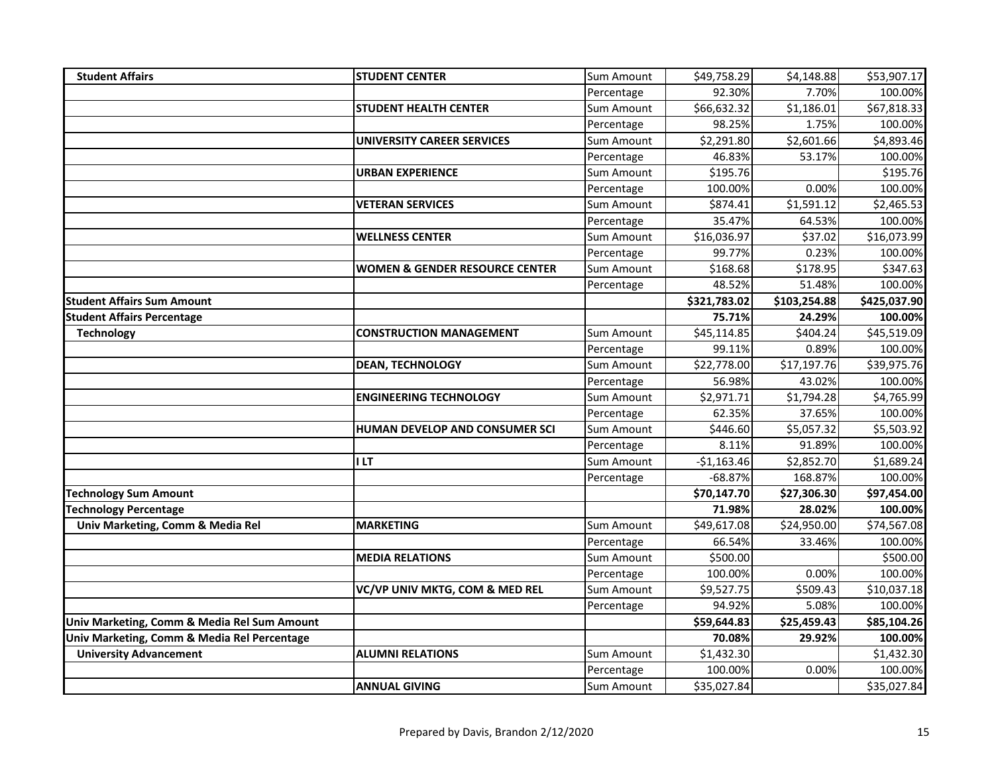| <b>Student Affairs</b>                      | <b>STUDENT CENTER</b>                     | Sum Amount        | \$49,758.29  | \$4,148.88   | \$53,907.17  |
|---------------------------------------------|-------------------------------------------|-------------------|--------------|--------------|--------------|
|                                             |                                           | Percentage        | 92.30%       | 7.70%        | 100.00%      |
|                                             | <b>STUDENT HEALTH CENTER</b>              | Sum Amount        | \$66,632.32  | \$1,186.01   | \$67,818.33  |
|                                             |                                           | Percentage        | 98.25%       | 1.75%        | 100.00%      |
|                                             | <b>UNIVERSITY CAREER SERVICES</b>         | Sum Amount        | \$2,291.80   | \$2,601.66   | \$4,893.46   |
|                                             |                                           | Percentage        | 46.83%       | 53.17%       | 100.00%      |
|                                             | <b>URBAN EXPERIENCE</b>                   | Sum Amount        | \$195.76     |              | \$195.76     |
|                                             |                                           | Percentage        | 100.00%      | 0.00%        | 100.00%      |
|                                             | <b>VETERAN SERVICES</b>                   | Sum Amount        | \$874.41     | \$1,591.12   | \$2,465.53   |
|                                             |                                           | Percentage        | 35.47%       | 64.53%       | 100.00%      |
|                                             | <b>WELLNESS CENTER</b>                    | Sum Amount        | \$16,036.97  | \$37.02      | \$16,073.99  |
|                                             |                                           | Percentage        | 99.77%       | 0.23%        | 100.00%      |
|                                             | <b>WOMEN &amp; GENDER RESOURCE CENTER</b> | Sum Amount        | \$168.68     | \$178.95     | \$347.63     |
|                                             |                                           | Percentage        | 48.52%       | 51.48%       | 100.00%      |
| <b>Student Affairs Sum Amount</b>           |                                           |                   | \$321,783.02 | \$103,254.88 | \$425,037.90 |
| <b>Student Affairs Percentage</b>           |                                           |                   | 75.71%       | 24.29%       | 100.00%      |
| <b>Technology</b>                           | <b>CONSTRUCTION MANAGEMENT</b>            | Sum Amount        | \$45,114.85  | \$404.24     | \$45,519.09  |
|                                             |                                           | Percentage        | 99.11%       | 0.89%        | 100.00%      |
|                                             | <b>DEAN, TECHNOLOGY</b>                   | Sum Amount        | \$22,778.00  | \$17,197.76  | \$39,975.76  |
|                                             |                                           | Percentage        | 56.98%       | 43.02%       | 100.00%      |
|                                             | <b>ENGINEERING TECHNOLOGY</b>             | Sum Amount        | \$2,971.71   | \$1,794.28   | \$4,765.99   |
|                                             |                                           | Percentage        | 62.35%       | 37.65%       | 100.00%      |
|                                             | <b>HUMAN DEVELOP AND CONSUMER SCI</b>     | Sum Amount        | \$446.60     | \$5,057.32   | \$5,503.92   |
|                                             |                                           | Percentage        | 8.11%        | 91.89%       | 100.00%      |
|                                             | I LT                                      | <b>Sum Amount</b> | $-$1,163.46$ | \$2,852.70   | \$1,689.24   |
|                                             |                                           | Percentage        | $-68.87%$    | 168.87%      | 100.00%      |
| <b>Technology Sum Amount</b>                |                                           |                   | \$70,147.70  | \$27,306.30  | \$97,454.00  |
| <b>Technology Percentage</b>                |                                           |                   | 71.98%       | 28.02%       | 100.00%      |
| Univ Marketing, Comm & Media Rel            | <b>MARKETING</b>                          | Sum Amount        | \$49,617.08  | \$24,950.00  | \$74,567.08  |
|                                             |                                           | Percentage        | 66.54%       | 33.46%       | 100.00%      |
|                                             | <b>MEDIA RELATIONS</b>                    | Sum Amount        | \$500.00     |              | \$500.00     |
|                                             |                                           | Percentage        | 100.00%      | 0.00%        | 100.00%      |
|                                             | VC/VP UNIV MKTG, COM & MED REL            | Sum Amount        | \$9,527.75   | \$509.43     | \$10,037.18  |
|                                             |                                           | Percentage        | 94.92%       | 5.08%        | 100.00%      |
| Univ Marketing, Comm & Media Rel Sum Amount |                                           |                   | \$59,644.83  | \$25,459.43  | \$85,104.26  |
| Univ Marketing, Comm & Media Rel Percentage |                                           |                   | 70.08%       | 29.92%       | 100.00%      |
| <b>University Advancement</b>               | <b>ALUMNI RELATIONS</b>                   | Sum Amount        | \$1,432.30   |              | \$1,432.30   |
|                                             |                                           | Percentage        | 100.00%      | 0.00%        | 100.00%      |
|                                             | <b>ANNUAL GIVING</b>                      | Sum Amount        | \$35,027.84  |              | \$35,027.84  |